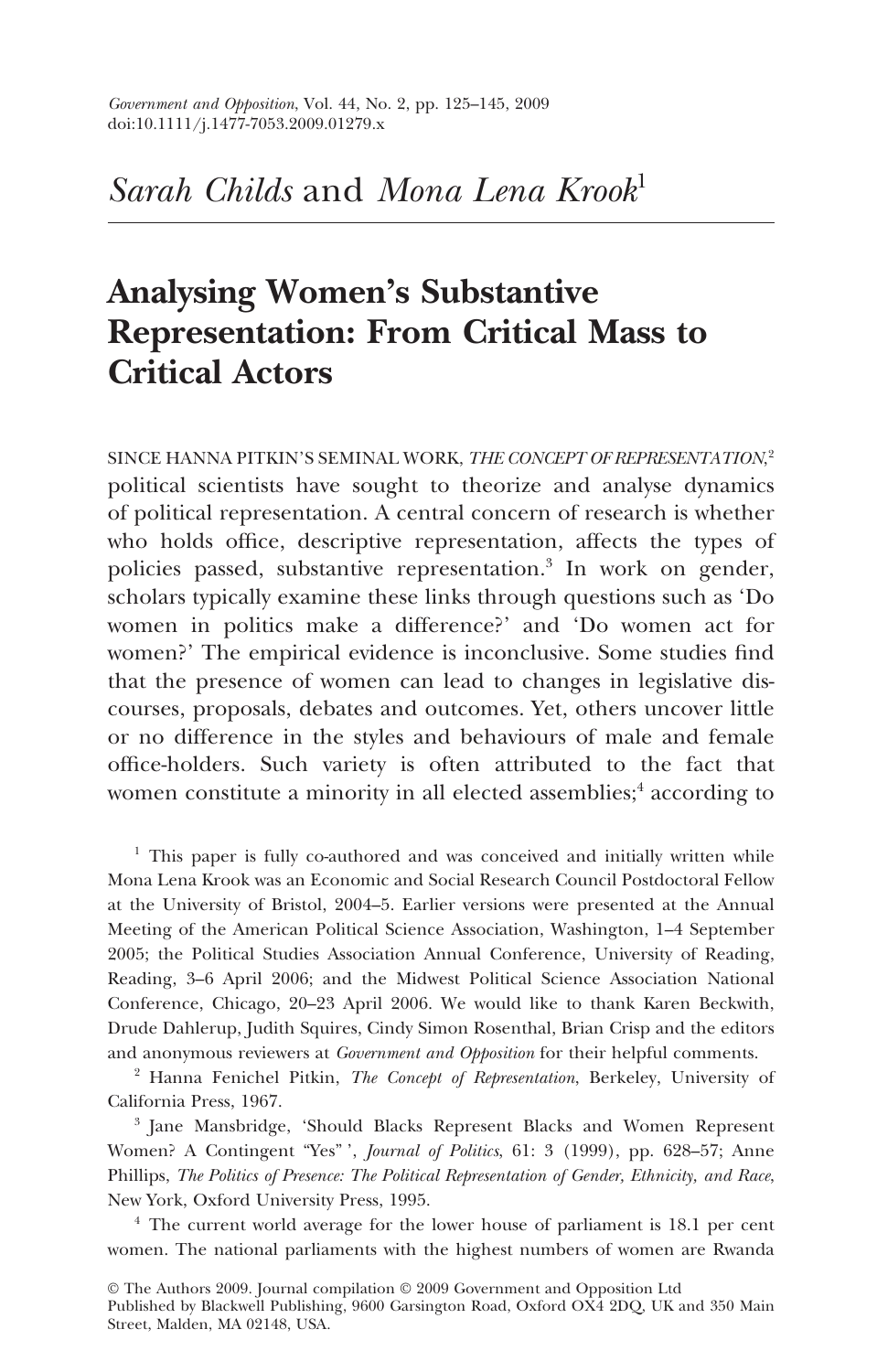## *Sarah Childs* and *Mona Lena Krook*<sup>1</sup>

# **Analysing Women's Substantive Representation: From Critical Mass to Critical Actors**

SINCE HANNA PITKIN'S SEMINAL WORK, *THE CONCEPT OF REPRESENTATION*, 2 political scientists have sought to theorize and analyse dynamics of political representation. A central concern of research is whether who holds office, descriptive representation, affects the types of policies passed, substantive representation.3 In work on gender, scholars typically examine these links through questions such as 'Do women in politics make a difference?' and 'Do women act for women?' The empirical evidence is inconclusive. Some studies find that the presence of women can lead to changes in legislative discourses, proposals, debates and outcomes. Yet, others uncover little or no difference in the styles and behaviours of male and female office-holders. Such variety is often attributed to the fact that women constitute a minority in all elected assemblies;<sup>4</sup> according to

 $1$ . This paper is fully co-authored and was conceived and initially written while Mona Lena Krook was an Economic and Social Research Council Postdoctoral Fellow at the University of Bristol, 2004–5. Earlier versions were presented at the Annual Meeting of the American Political Science Association, Washington, 1–4 September 2005; the Political Studies Association Annual Conference, University of Reading, Reading, 3–6 April 2006; and the Midwest Political Science Association National Conference, Chicago, 20–23 April 2006. We would like to thank Karen Beckwith, Drude Dahlerup, Judith Squires, Cindy Simon Rosenthal, Brian Crisp and the editors and anonymous reviewers at *Government and Opposition* for their helpful comments.

<sup>2</sup> Hanna Fenichel Pitkin, *The Concept of Representation*, Berkeley, University of California Press, 1967.

<sup>3</sup> Jane Mansbridge, 'Should Blacks Represent Blacks and Women Represent Women? A Contingent "Yes" ', *Journal of Politics*, 61: 3 (1999), pp. 628–57; Anne Phillips, *The Politics of Presence: The Political Representation of Gender, Ethnicity, and Race*, New York, Oxford University Press, 1995.

<sup>4</sup> The current world average for the lower house of parliament is 18.1 per cent women. The national parliaments with the highest numbers of women are Rwanda

© The Authors 2009. Journal compilation © 2009 Government and Opposition Ltd Published by Blackwell Publishing, 9600 Garsington Road, Oxford OX4 2DQ, UK and 350 Main Street, Malden, MA 02148, USA.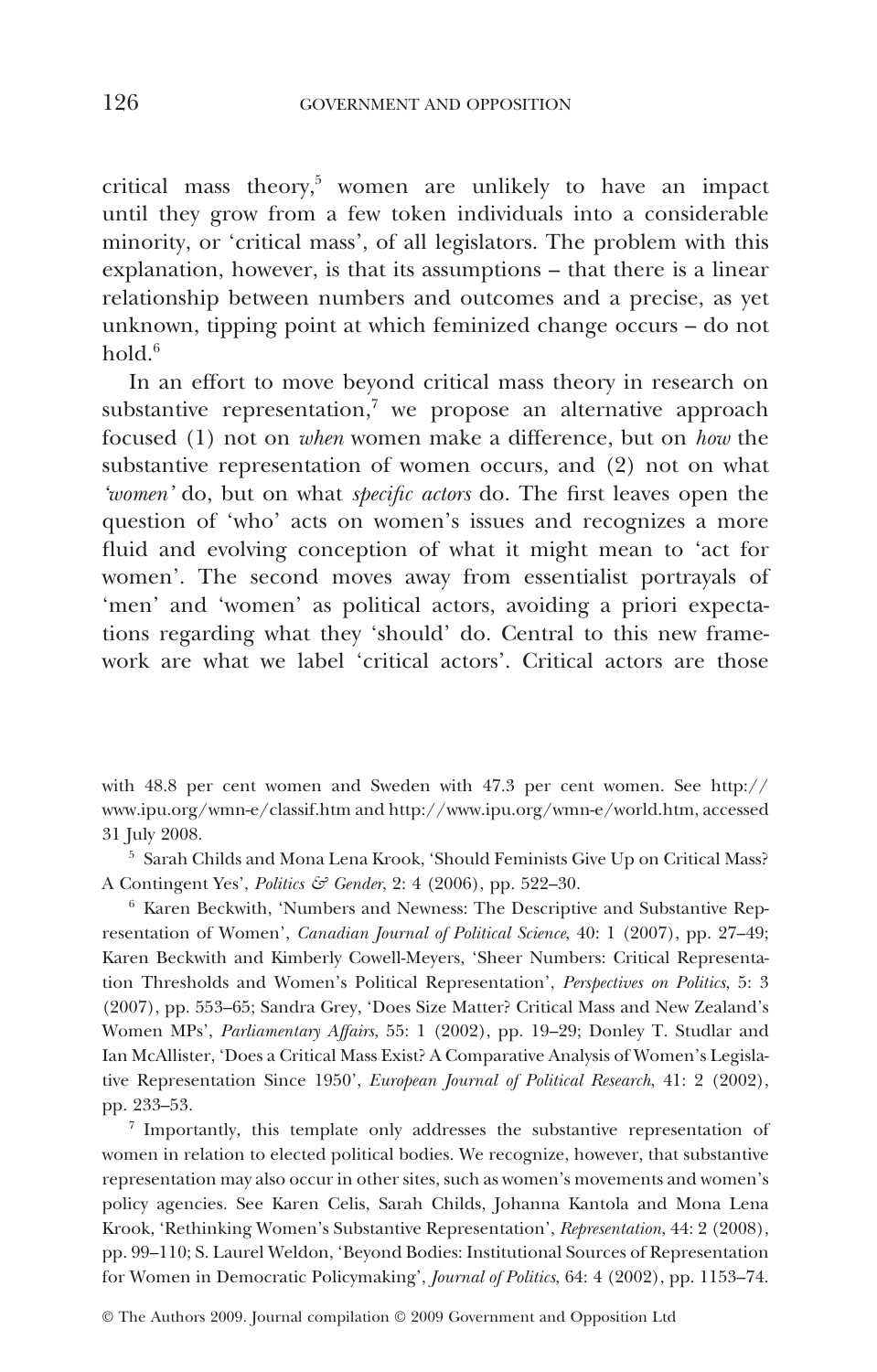critical mass theory, $5$  women are unlikely to have an impact until they grow from a few token individuals into a considerable minority, or 'critical mass', of all legislators. The problem with this explanation, however, is that its assumptions – that there is a linear relationship between numbers and outcomes and a precise, as yet unknown, tipping point at which feminized change occurs – do not  $hold.<sup>6</sup>$ 

In an effort to move beyond critical mass theory in research on substantive representation, $\bar{7}$  we propose an alternative approach focused (1) not on *when* women make a difference, but on *how* the substantive representation of women occurs, and (2) not on what *'women'* do, but on what *specific actors* do. The first leaves open the question of 'who' acts on women's issues and recognizes a more fluid and evolving conception of what it might mean to 'act for women'. The second moves away from essentialist portrayals of 'men' and 'women' as political actors, avoiding a priori expectations regarding what they 'should' do. Central to this new framework are what we label 'critical actors'. Critical actors are those

with 48.8 per cent women and Sweden with 47.3 per cent women. See [http://](http://www.ipu.org/wmn-e/classif.htm) [www.ipu.org/wmn-e/classif.htm an](http://www.ipu.org/wmn-e/classif.htm)d [http://www.ipu.org/wmn-e/world.htm,](http://www.ipu.org/wmn-e/world.htm) accessed 31 July 2008.

<sup>5</sup> Sarah Childs and Mona Lena Krook, 'Should Feminists Give Up on Critical Mass? A Contingent Yes', *Politics & Gender*, 2: 4 (2006), pp. 522–30.

<sup>6</sup> Karen Beckwith, 'Numbers and Newness: The Descriptive and Substantive Representation of Women', *Canadian Journal of Political Science*, 40: 1 (2007), pp. 27–49; Karen Beckwith and Kimberly Cowell-Meyers, 'Sheer Numbers: Critical Representation Thresholds and Women's Political Representation', *Perspectives on Politics*, 5: 3 (2007), pp. 553–65; Sandra Grey, 'Does Size Matter? Critical Mass and New Zealand's Women MPs', *Parliamentary Affairs*, 55: 1 (2002), pp. 19–29; Donley T. Studlar and Ian McAllister, 'Does a Critical Mass Exist? A Comparative Analysis of Women's Legislative Representation Since 1950', *European Journal of Political Research*, 41: 2 (2002), pp. 233–53.

<sup>7</sup> Importantly, this template only addresses the substantive representation of women in relation to elected political bodies. We recognize, however, that substantive representation may also occur in other sites, such as women's movements and women's policy agencies. See Karen Celis, Sarah Childs, Johanna Kantola and Mona Lena Krook, 'Rethinking Women's Substantive Representation', *Representation*, 44: 2 (2008), pp. 99–110; S. Laurel Weldon, 'Beyond Bodies: Institutional Sources of Representation for Women in Democratic Policymaking', *Journal of Politics*, 64: 4 (2002), pp. 1153–74.

© The Authors 2009. Journal compilation © 2009 Government and Opposition Ltd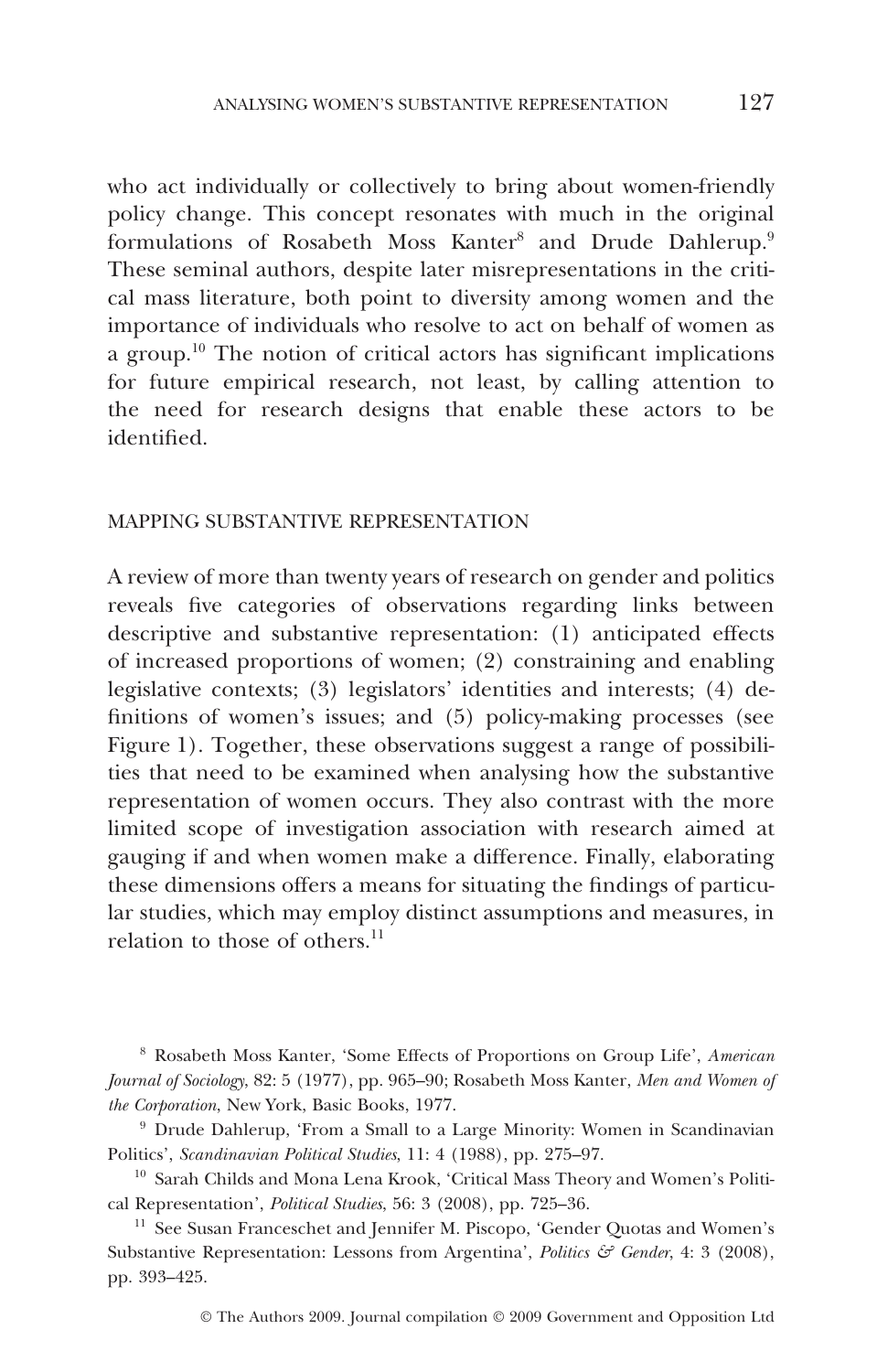who act individually or collectively to bring about women-friendly policy change. This concept resonates with much in the original formulations of Rosabeth Moss Kanter<sup>8</sup> and Drude Dahlerup.<sup>9</sup> These seminal authors, despite later misrepresentations in the critical mass literature, both point to diversity among women and the importance of individuals who resolve to act on behalf of women as a group.10 The notion of critical actors has significant implications for future empirical research, not least, by calling attention to the need for research designs that enable these actors to be identified.

#### MAPPING SUBSTANTIVE REPRESENTATION

A review of more than twenty years of research on gender and politics reveals five categories of observations regarding links between descriptive and substantive representation: (1) anticipated effects of increased proportions of women; (2) constraining and enabling legislative contexts; (3) legislators' identities and interests; (4) definitions of women's issues; and (5) policy-making processes (see Figure 1). Together, these observations suggest a range of possibilities that need to be examined when analysing how the substantive representation of women occurs. They also contrast with the more limited scope of investigation association with research aimed at gauging if and when women make a difference. Finally, elaborating these dimensions offers a means for situating the findings of particular studies, which may employ distinct assumptions and measures, in relation to those of others.<sup>11</sup>

<sup>8</sup> Rosabeth Moss Kanter, 'Some Effects of Proportions on Group Life', *American Journal of Sociology*, 82: 5 (1977), pp. 965–90; Rosabeth Moss Kanter, *Men and Women of the Corporation*, New York, Basic Books, 1977.

<sup>9</sup> Drude Dahlerup, 'From a Small to a Large Minority: Women in Scandinavian Politics', *Scandinavian Political Studies*, 11: 4 (1988), pp. 275–97.

<sup>10</sup> Sarah Childs and Mona Lena Krook, 'Critical Mass Theory and Women's Political Representation', *Political Studies*, 56: 3 (2008), pp. 725–36.

<sup>11</sup> See Susan Franceschet and Jennifer M. Piscopo, 'Gender Quotas and Women's Substantive Representation: Lessons from Argentina', *Politics & Gender*, 4: 3 (2008), pp. 393–425.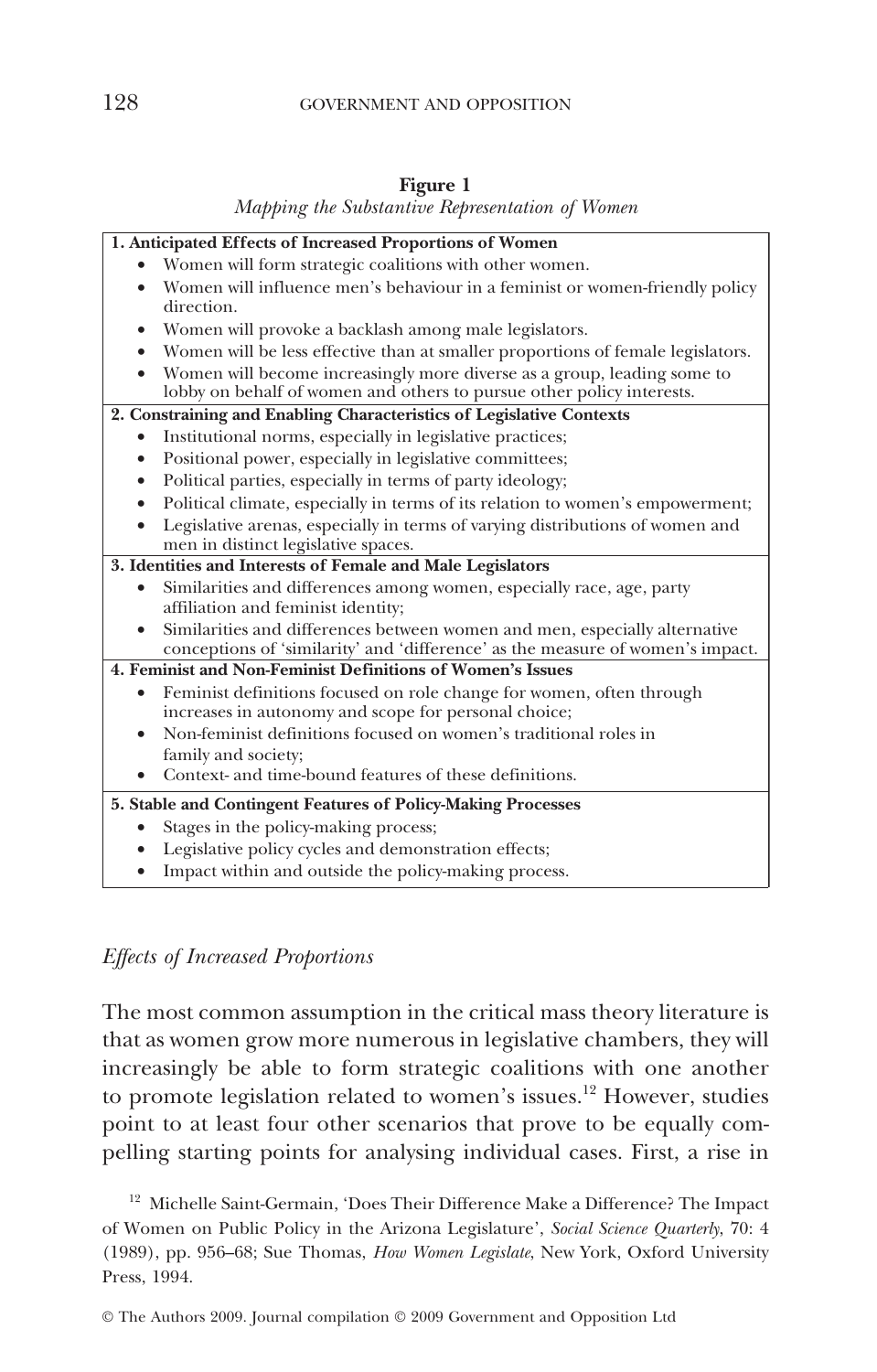#### **Figure 1** *Mapping the Substantive Representation of Women*

| 1. Anticipated Effects of Increased Proportions of Women                                                                                         |
|--------------------------------------------------------------------------------------------------------------------------------------------------|
| Women will form strategic coalitions with other women.                                                                                           |
| Women will influence men's behaviour in a feminist or women-friendly policy<br>٠                                                                 |
| direction.                                                                                                                                       |
| Women will provoke a backlash among male legislators.<br>٠                                                                                       |
| Women will be less effective than at smaller proportions of female legislators.                                                                  |
| Women will become increasingly more diverse as a group, leading some to<br>lobby on behalf of women and others to pursue other policy interests. |
| 2. Constraining and Enabling Characteristics of Legislative Contexts                                                                             |
| Institutional norms, especially in legislative practices;                                                                                        |
| Positional power, especially in legislative committees;                                                                                          |
| Political parties, especially in terms of party ideology;<br>٠                                                                                   |
| Political climate, especially in terms of its relation to women's empowerment;                                                                   |
| Legislative arenas, especially in terms of varying distributions of women and                                                                    |
| men in distinct legislative spaces.                                                                                                              |
| 3. Identities and Interests of Female and Male Legislators                                                                                       |
| Similarities and differences among women, especially race, age, party                                                                            |
| affiliation and feminist identity;                                                                                                               |
| Similarities and differences between women and men, especially alternative                                                                       |
| conceptions of 'similarity' and 'difference' as the measure of women's impact.                                                                   |
| 4. Feminist and Non-Feminist Definitions of Women's Issues                                                                                       |
| Feminist definitions focused on role change for women, often through<br>$\bullet$<br>increases in autonomy and scope for personal choice;        |
| Non-feminist definitions focused on women's traditional roles in<br>٠                                                                            |
| family and society;                                                                                                                              |
| Context- and time-bound features of these definitions.                                                                                           |
| 5. Stable and Contingent Features of Policy-Making Processes                                                                                     |
| Stages in the policy-making process;                                                                                                             |
| Legislative policy cycles and demonstration effects;<br>٠                                                                                        |
| Impact within and outside the policy-making process.                                                                                             |

## *Effects of Increased Proportions*

The most common assumption in the critical mass theory literature is that as women grow more numerous in legislative chambers, they will increasingly be able to form strategic coalitions with one another to promote legislation related to women's issues.<sup>12</sup> However, studies point to at least four other scenarios that prove to be equally compelling starting points for analysing individual cases. First, a rise in

<sup>12</sup> Michelle Saint-Germain, 'Does Their Difference Make a Difference? The Impact of Women on Public Policy in the Arizona Legislature', *Social Science Quarterly*, 70: 4 (1989), pp. 956–68; Sue Thomas, *How Women Legislate*, New York, Oxford University Press, 1994.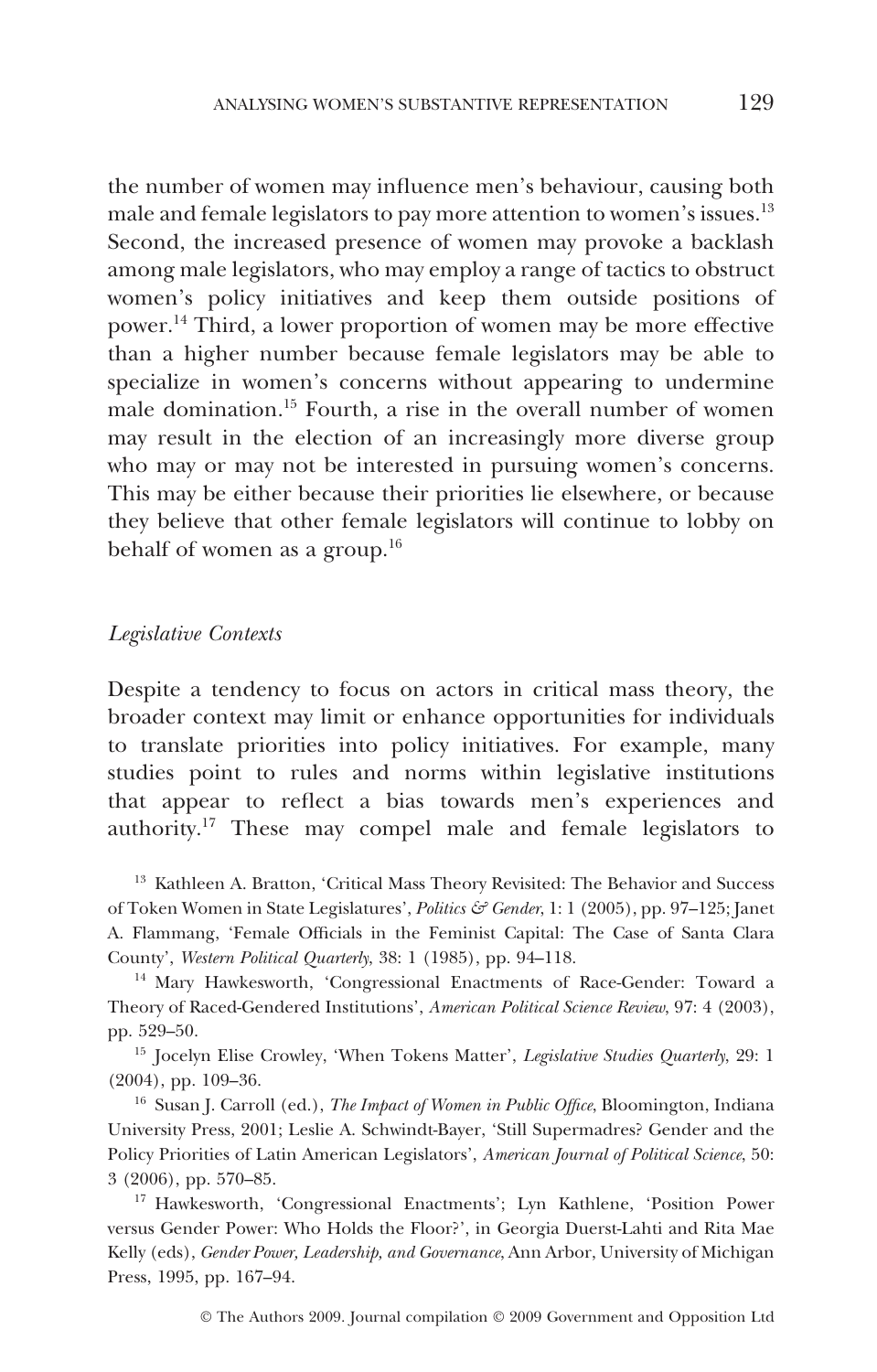the number of women may influence men's behaviour, causing both male and female legislators to pay more attention to women's issues.<sup>13</sup> Second, the increased presence of women may provoke a backlash among male legislators, who may employ a range of tactics to obstruct women's policy initiatives and keep them outside positions of power.14 Third, a lower proportion of women may be more effective than a higher number because female legislators may be able to specialize in women's concerns without appearing to undermine male domination.15 Fourth, a rise in the overall number of women may result in the election of an increasingly more diverse group who may or may not be interested in pursuing women's concerns. This may be either because their priorities lie elsewhere, or because they believe that other female legislators will continue to lobby on behalf of women as a group.<sup>16</sup>

## *Legislative Contexts*

Despite a tendency to focus on actors in critical mass theory, the broader context may limit or enhance opportunities for individuals to translate priorities into policy initiatives. For example, many studies point to rules and norms within legislative institutions that appear to reflect a bias towards men's experiences and authority.17 These may compel male and female legislators to

<sup>13</sup> Kathleen A. Bratton, 'Critical Mass Theory Revisited: The Behavior and Success of Token Women in State Legislatures', *Politics & Gender*, 1: 1 (2005), pp. 97–125; Janet A. Flammang, 'Female Officials in the Feminist Capital: The Case of Santa Clara County', *Western Political Quarterly*, 38: 1 (1985), pp. 94–118.

<sup>14</sup> Mary Hawkesworth, 'Congressional Enactments of Race-Gender: Toward a Theory of Raced-Gendered Institutions', *American Political Science Review*, 97: 4 (2003), pp. 529–50.

<sup>15</sup> Jocelyn Elise Crowley, 'When Tokens Matter', *Legislative Studies Quarterly*, 29: 1 (2004), pp. 109–36.

<sup>16</sup> Susan J. Carroll (ed.), *The Impact of Women in Public Office*, Bloomington, Indiana University Press, 2001; Leslie A. Schwindt-Bayer, 'Still Supermadres? Gender and the Policy Priorities of Latin American Legislators', *American Journal of Political Science*, 50: 3 (2006), pp. 570–85.

<sup>17</sup> Hawkesworth, 'Congressional Enactments'; Lyn Kathlene, 'Position Power versus Gender Power: Who Holds the Floor?', in Georgia Duerst-Lahti and Rita Mae Kelly (eds), *Gender Power, Leadership, and Governance*, Ann Arbor, University of Michigan Press, 1995, pp. 167–94.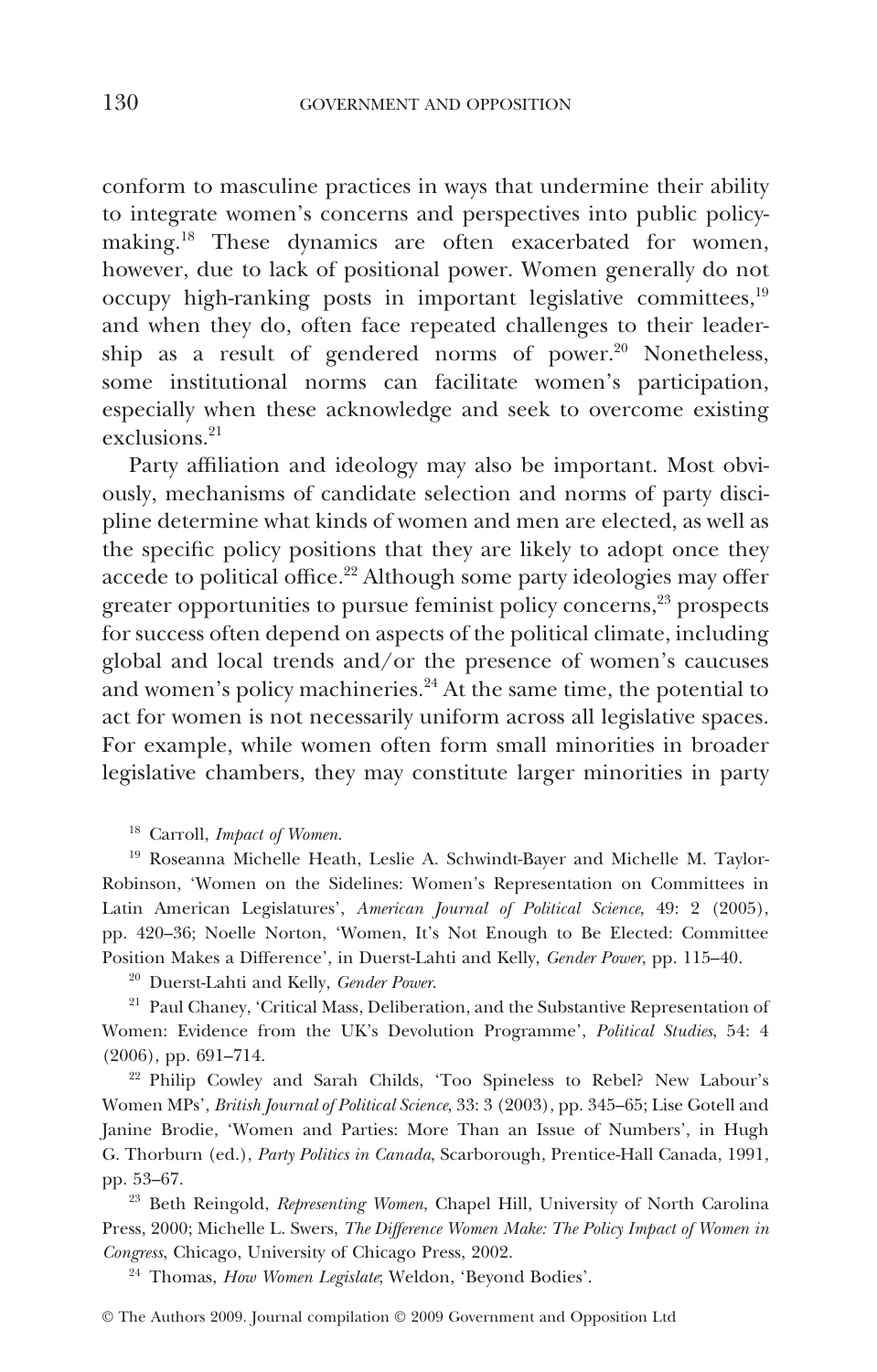conform to masculine practices in ways that undermine their ability to integrate women's concerns and perspectives into public policymaking.<sup>18</sup> These dynamics are often exacerbated for women, however, due to lack of positional power. Women generally do not occupy high-ranking posts in important legislative committees,<sup>19</sup> and when they do, often face repeated challenges to their leadership as a result of gendered norms of power. $20$  Nonetheless, some institutional norms can facilitate women's participation, especially when these acknowledge and seek to overcome existing exclusions.<sup>21</sup>

Party affiliation and ideology may also be important. Most obviously, mechanisms of candidate selection and norms of party discipline determine what kinds of women and men are elected, as well as the specific policy positions that they are likely to adopt once they accede to political office.<sup>22</sup> Although some party ideologies may offer greater opportunities to pursue feminist policy concerns,<sup>23</sup> prospects for success often depend on aspects of the political climate, including global and local trends and/or the presence of women's caucuses and women's policy machineries. $24$  At the same time, the potential to act for women is not necessarily uniform across all legislative spaces. For example, while women often form small minorities in broader legislative chambers, they may constitute larger minorities in party

<sup>18</sup> Carroll, *Impact of Women*.

<sup>19</sup> Roseanna Michelle Heath, Leslie A. Schwindt-Bayer and Michelle M. Taylor-Robinson, 'Women on the Sidelines: Women's Representation on Committees in Latin American Legislatures', *American Journal of Political Science*, 49: 2 (2005), pp. 420–36; Noelle Norton, 'Women, It's Not Enough to Be Elected: Committee Position Makes a Difference', in Duerst-Lahti and Kelly, *Gender Power*, pp. 115–40.

<sup>20</sup> Duerst-Lahti and Kelly, *Gender Power*.

<sup>21</sup> Paul Chaney, 'Critical Mass, Deliberation, and the Substantive Representation of Women: Evidence from the UK's Devolution Programme', *Political Studies*, 54: 4 (2006), pp. 691–714.

<sup>22</sup> Philip Cowley and Sarah Childs, 'Too Spineless to Rebel? New Labour's Women MPs', *British Journal of Political Science*, 33: 3 (2003), pp. 345–65; Lise Gotell and Janine Brodie, 'Women and Parties: More Than an Issue of Numbers', in Hugh G. Thorburn (ed.), *Party Politics in Canada*, Scarborough, Prentice-Hall Canada, 1991, pp. 53–67.

<sup>23</sup> Beth Reingold, *Representing Women*, Chapel Hill, University of North Carolina Press, 2000; Michelle L. Swers, *The Difference Women Make: The Policy Impact of Women in Congress*, Chicago, University of Chicago Press, 2002.

<sup>24</sup> Thomas, *How Women Legislate*; Weldon, 'Beyond Bodies'.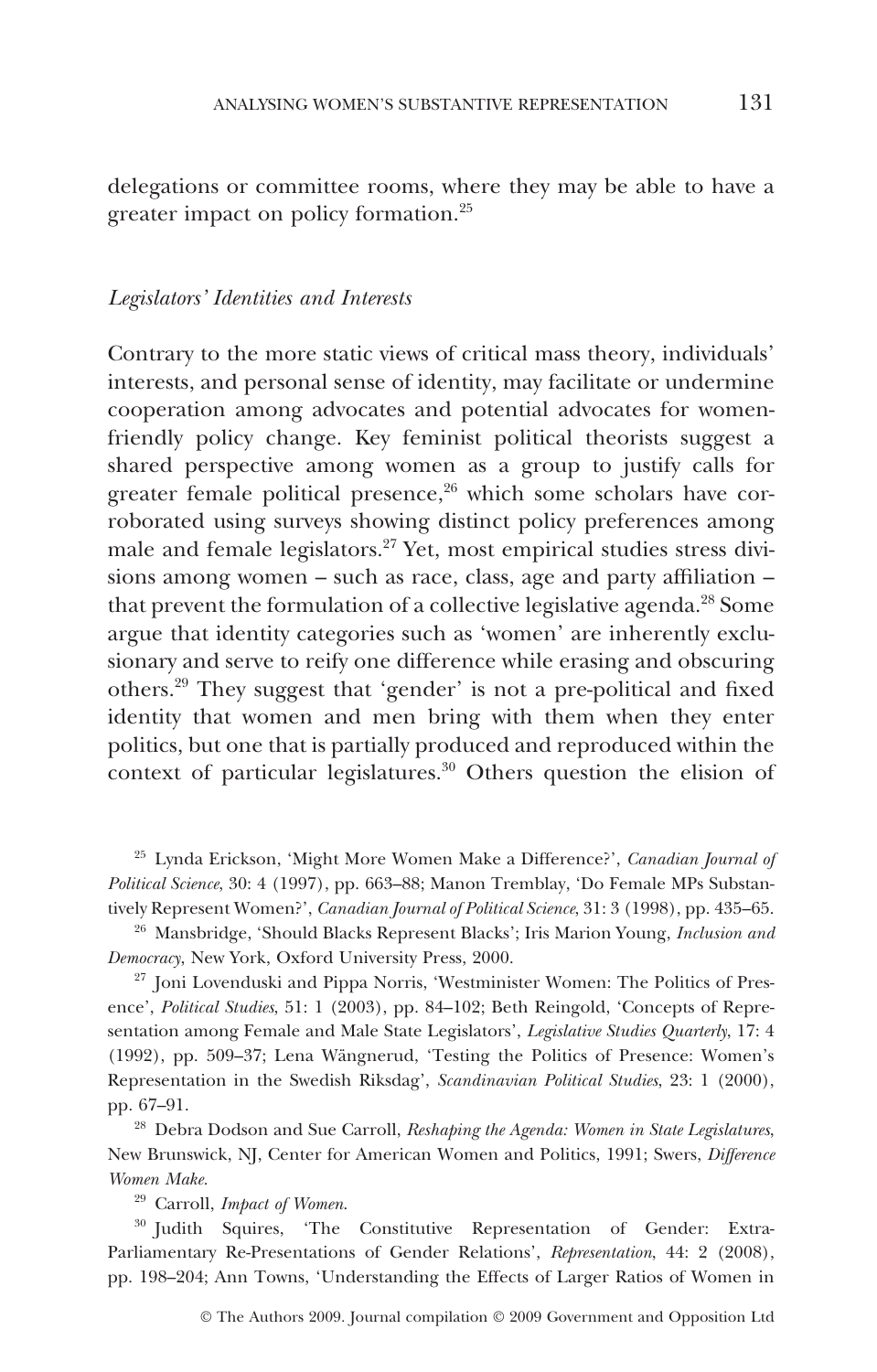delegations or committee rooms, where they may be able to have a greater impact on policy formation.25

## *Legislators' Identities and Interests*

Contrary to the more static views of critical mass theory, individuals' interests, and personal sense of identity, may facilitate or undermine cooperation among advocates and potential advocates for womenfriendly policy change. Key feminist political theorists suggest a shared perspective among women as a group to justify calls for greater female political presence, $26$  which some scholars have corroborated using surveys showing distinct policy preferences among male and female legislators.<sup>27</sup> Yet, most empirical studies stress divisions among women – such as race, class, age and party affiliation – that prevent the formulation of a collective legislative agenda.<sup>28</sup> Some argue that identity categories such as 'women' are inherently exclusionary and serve to reify one difference while erasing and obscuring others.29 They suggest that 'gender' is not a pre-political and fixed identity that women and men bring with them when they enter politics, but one that is partially produced and reproduced within the context of particular legislatures.<sup>30</sup> Others question the elision of

<sup>25</sup> Lynda Erickson, 'Might More Women Make a Difference?', *Canadian Journal of Political Science*, 30: 4 (1997), pp. 663–88; Manon Tremblay, 'Do Female MPs Substantively Represent Women?', *Canadian Journal of Political Science*, 31: 3 (1998), pp. 435–65.

<sup>26</sup> Mansbridge, 'Should Blacks Represent Blacks'; Iris Marion Young, *Inclusion and Democracy*, New York, Oxford University Press, 2000.

<sup>27</sup> Joni Lovenduski and Pippa Norris, 'Westminister Women: The Politics of Presence', *Political Studies*, 51: 1 (2003), pp. 84–102; Beth Reingold, 'Concepts of Representation among Female and Male State Legislators', *Legislative Studies Quarterly*, 17: 4 (1992), pp. 509–37; Lena Wängnerud, 'Testing the Politics of Presence: Women's Representation in the Swedish Riksdag', *Scandinavian Political Studies*, 23: 1 (2000), pp. 67–91.

<sup>28</sup> Debra Dodson and Sue Carroll, *Reshaping the Agenda: Women in State Legislatures*, New Brunswick, NJ, Center for American Women and Politics, 1991; Swers, *Difference Women Make.*

<sup>29</sup> Carroll, *Impact of Women*.

<sup>30</sup> Judith Squires, 'The Constitutive Representation of Gender: Extra-Parliamentary Re-Presentations of Gender Relations', *Representation*, 44: 2 (2008), pp. 198–204; Ann Towns, 'Understanding the Effects of Larger Ratios of Women in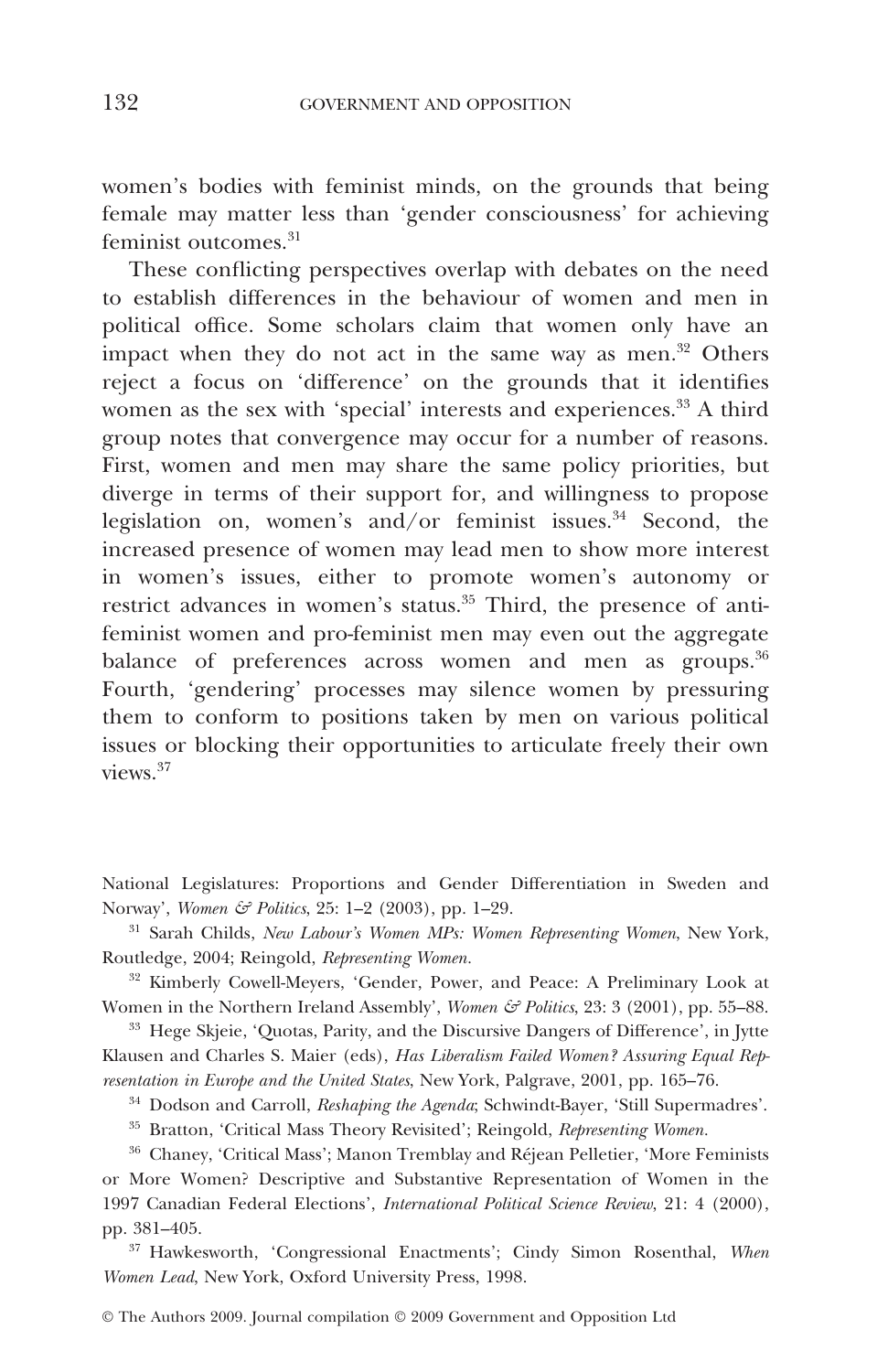women's bodies with feminist minds, on the grounds that being female may matter less than 'gender consciousness' for achieving feminist outcomes.<sup>31</sup>

These conflicting perspectives overlap with debates on the need to establish differences in the behaviour of women and men in political office. Some scholars claim that women only have an impact when they do not act in the same way as men. $32$  Others reject a focus on 'difference' on the grounds that it identifies women as the sex with 'special' interests and experiences.<sup>33</sup> A third group notes that convergence may occur for a number of reasons. First, women and men may share the same policy priorities, but diverge in terms of their support for, and willingness to propose legislation on, women's and/or feminist issues. $34$  Second, the increased presence of women may lead men to show more interest in women's issues, either to promote women's autonomy or restrict advances in women's status.<sup>35</sup> Third, the presence of antifeminist women and pro-feminist men may even out the aggregate balance of preferences across women and men as groups.<sup>36</sup> Fourth, 'gendering' processes may silence women by pressuring them to conform to positions taken by men on various political issues or blocking their opportunities to articulate freely their own views.37

National Legislatures: Proportions and Gender Differentiation in Sweden and Norway', *Women & Politics*, 25: 1–2 (2003), pp. 1–29.

<sup>31</sup> Sarah Childs, *New Labour's Women MPs: Women Representing Women*, New York, Routledge, 2004; Reingold, *Representing Women.*

<sup>32</sup> Kimberly Cowell-Meyers, 'Gender, Power, and Peace: A Preliminary Look at Women in the Northern Ireland Assembly', *Women & Politics*, 23: 3 (2001), pp. 55-88.

<sup>33</sup> Hege Skjeie, 'Quotas, Parity, and the Discursive Dangers of Difference', in Jytte Klausen and Charles S. Maier (eds), *Has Liberalism Failed Women? Assuring Equal Representation in Europe and the United States*, New York, Palgrave, 2001, pp. 165–76.

<sup>34</sup> Dodson and Carroll, *Reshaping the Agenda*; Schwindt-Bayer, 'Still Supermadres'.

<sup>35</sup> Bratton, 'Critical Mass Theory Revisited'; Reingold, *Representing Women.*

<sup>36</sup> Chaney, 'Critical Mass'; Manon Tremblay and Réjean Pelletier, 'More Feminists or More Women? Descriptive and Substantive Representation of Women in the 1997 Canadian Federal Elections', *International Political Science Review*, 21: 4 (2000), pp. 381–405.

<sup>37</sup> Hawkesworth, 'Congressional Enactments'; Cindy Simon Rosenthal, *When Women Lead*, New York, Oxford University Press, 1998.

© The Authors 2009. Journal compilation © 2009 Government and Opposition Ltd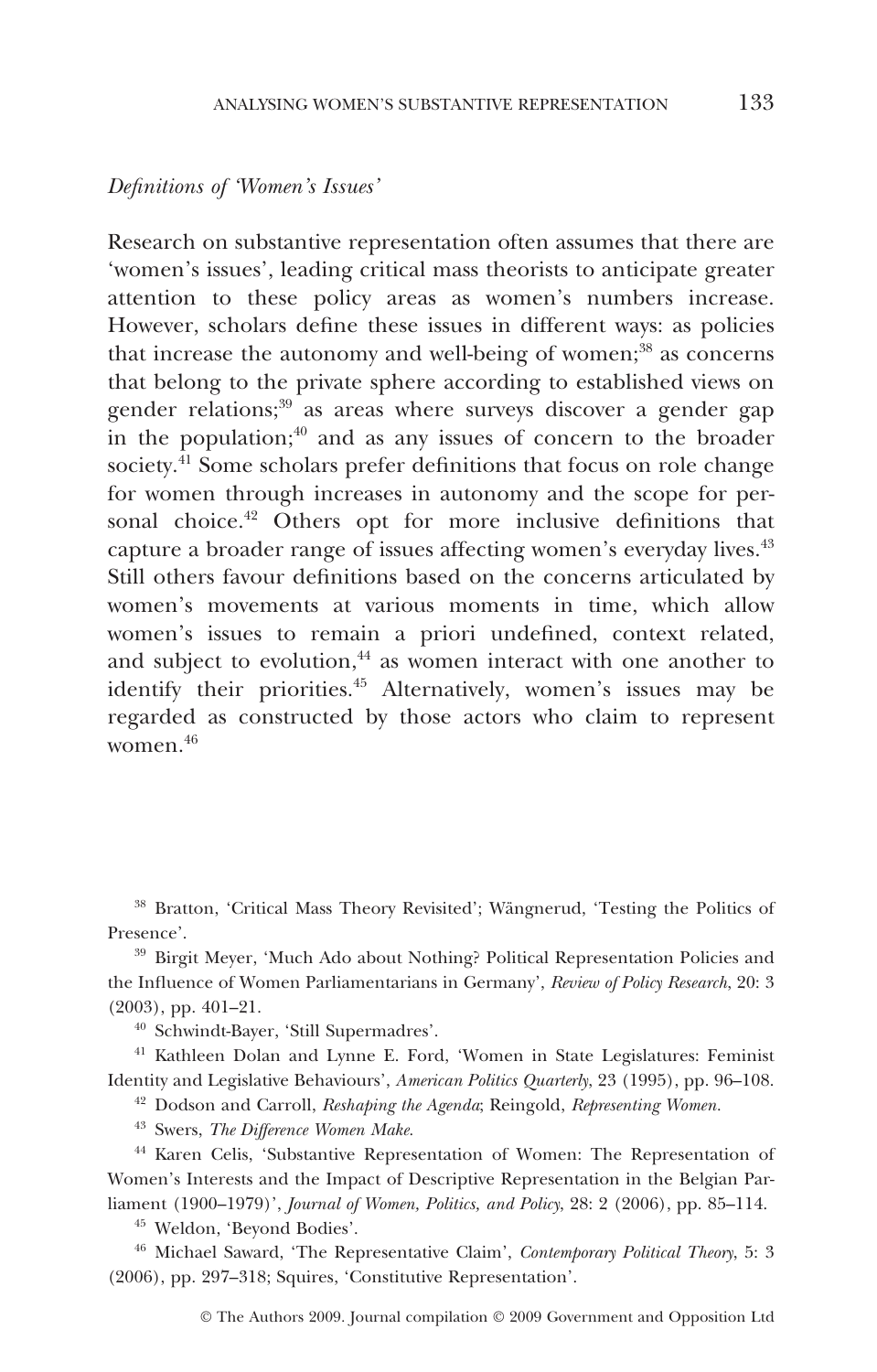## *Definitions of 'Women's Issues'*

Research on substantive representation often assumes that there are 'women's issues', leading critical mass theorists to anticipate greater attention to these policy areas as women's numbers increase. However, scholars define these issues in different ways: as policies that increase the autonomy and well-being of women;<sup>38</sup> as concerns that belong to the private sphere according to established views on gender relations;<sup>39</sup> as areas where surveys discover a gender gap in the population; $40$  and as any issues of concern to the broader society.<sup>41</sup> Some scholars prefer definitions that focus on role change for women through increases in autonomy and the scope for personal choice.42 Others opt for more inclusive definitions that capture a broader range of issues affecting women's everyday lives. $43$ Still others favour definitions based on the concerns articulated by women's movements at various moments in time, which allow women's issues to remain a priori undefined, context related, and subject to evolution,<sup>44</sup> as women interact with one another to identify their priorities.45 Alternatively, women's issues may be regarded as constructed by those actors who claim to represent women.46

<sup>38</sup> Bratton, 'Critical Mass Theory Revisited'; Wängnerud, 'Testing the Politics of Presence'.

<sup>39</sup> Birgit Meyer, 'Much Ado about Nothing? Political Representation Policies and the Influence of Women Parliamentarians in Germany', *Review of Policy Research*, 20: 3 (2003), pp. 401–21.

<sup>40</sup> Schwindt-Bayer, 'Still Supermadres'.

<sup>41</sup> Kathleen Dolan and Lynne E. Ford, 'Women in State Legislatures: Feminist Identity and Legislative Behaviours', *American Politics Quarterly*, 23 (1995), pp. 96–108.

<sup>42</sup> Dodson and Carroll, *Reshaping the Agenda*; Reingold, *Representing Women.*

<sup>43</sup> Swers, *The Difference Women Make.*

<sup>44</sup> Karen Celis, 'Substantive Representation of Women: The Representation of Women's Interests and the Impact of Descriptive Representation in the Belgian Parliament (1900–1979)', *Journal of Women, Politics, and Policy*, 28: 2 (2006), pp. 85–114.

<sup>45</sup> Weldon, 'Beyond Bodies'.

<sup>46</sup> Michael Saward, 'The Representative Claim', *Contemporary Political Theory*, 5: 3 (2006), pp. 297–318; Squires, 'Constitutive Representation'.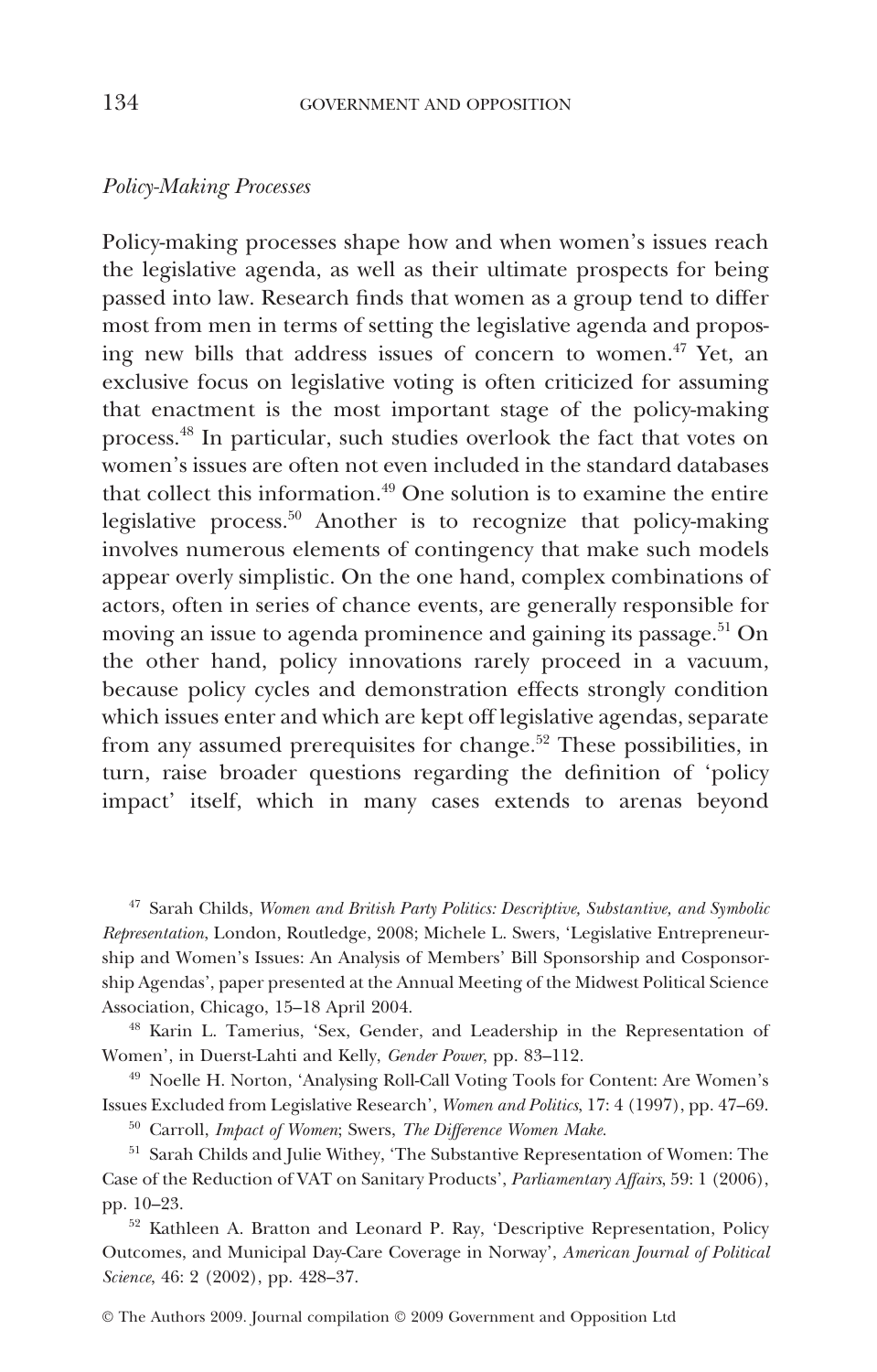#### *Policy-Making Processes*

Policy-making processes shape how and when women's issues reach the legislative agenda, as well as their ultimate prospects for being passed into law. Research finds that women as a group tend to differ most from men in terms of setting the legislative agenda and proposing new bills that address issues of concern to women.47 Yet, an exclusive focus on legislative voting is often criticized for assuming that enactment is the most important stage of the policy-making process.48 In particular, such studies overlook the fact that votes on women's issues are often not even included in the standard databases that collect this information.<sup>49</sup> One solution is to examine the entire legislative process.50 Another is to recognize that policy-making involves numerous elements of contingency that make such models appear overly simplistic. On the one hand, complex combinations of actors, often in series of chance events, are generally responsible for moving an issue to agenda prominence and gaining its passage.<sup>51</sup> On the other hand, policy innovations rarely proceed in a vacuum, because policy cycles and demonstration effects strongly condition which issues enter and which are kept off legislative agendas, separate from any assumed prerequisites for change.<sup>52</sup> These possibilities, in turn, raise broader questions regarding the definition of 'policy impact' itself, which in many cases extends to arenas beyond

<sup>47</sup> Sarah Childs, *Women and British Party Politics: Descriptive, Substantive, and Symbolic Representation*, London, Routledge, 2008; Michele L. Swers, 'Legislative Entrepreneurship and Women's Issues: An Analysis of Members' Bill Sponsorship and Cosponsorship Agendas', paper presented at the Annual Meeting of the Midwest Political Science Association, Chicago, 15–18 April 2004.

<sup>48</sup> Karin L. Tamerius, 'Sex, Gender, and Leadership in the Representation of Women', in Duerst-Lahti and Kelly, *Gender Power*, pp. 83–112.

<sup>49</sup> Noelle H. Norton, 'Analysing Roll-Call Voting Tools for Content: Are Women's Issues Excluded from Legislative Research', *Women and Politics*, 17: 4 (1997), pp. 47–69.

<sup>50</sup> Carroll, *Impact of Women*; Swers, *The Difference Women Make.*

<sup>51</sup> Sarah Childs and Julie Withey, 'The Substantive Representation of Women: The Case of the Reduction of VAT on Sanitary Products', *Parliamentary Affairs*, 59: 1 (2006), pp. 10–23.

<sup>52</sup> Kathleen A. Bratton and Leonard P. Ray, 'Descriptive Representation, Policy Outcomes, and Municipal Day-Care Coverage in Norway', *American Journal of Political Science*, 46: 2 (2002), pp. 428–37.

© The Authors 2009. Journal compilation © 2009 Government and Opposition Ltd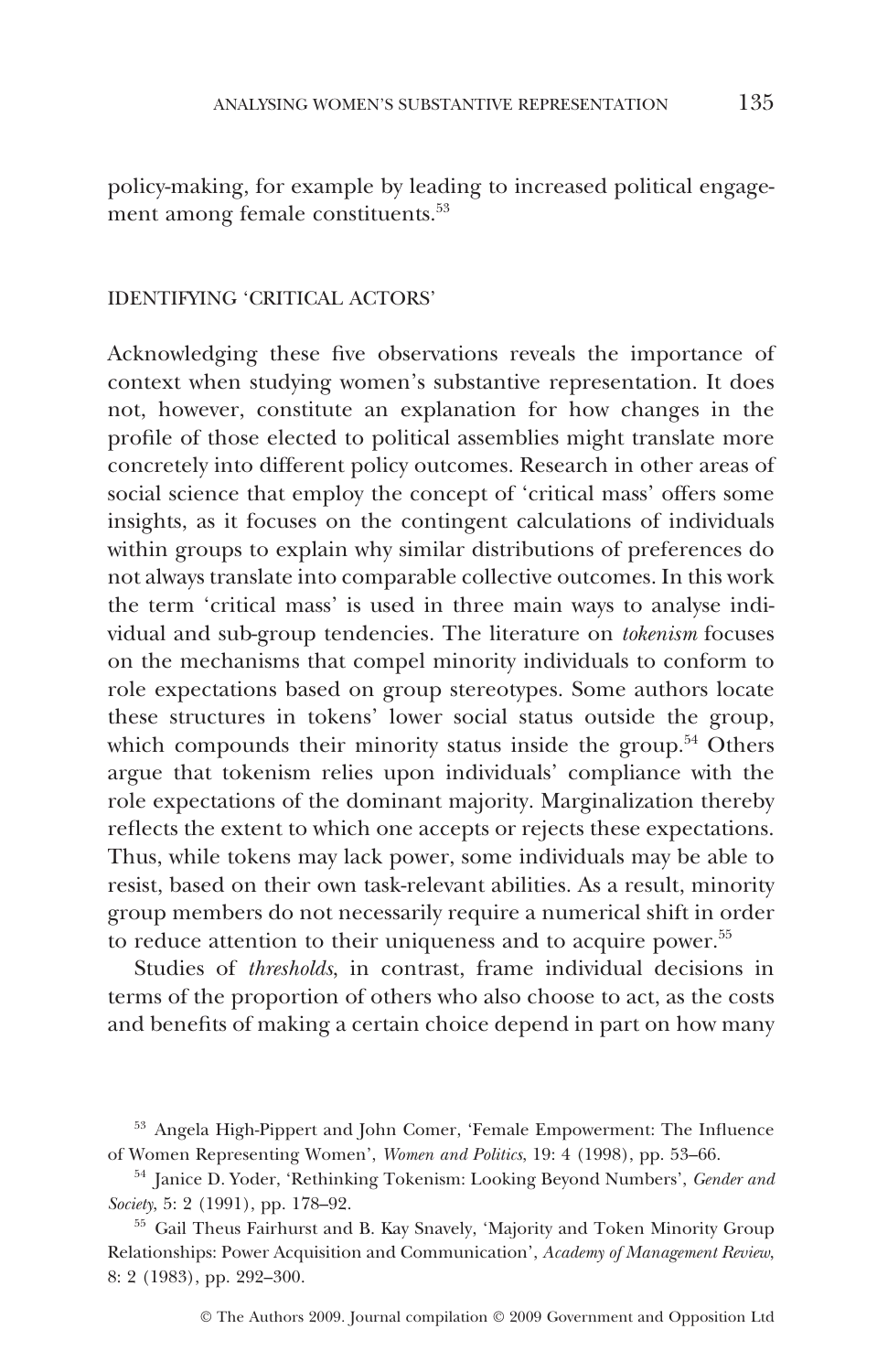policy-making, for example by leading to increased political engagement among female constituents.<sup>53</sup>

#### IDENTIFYING 'CRITICAL ACTORS'

Acknowledging these five observations reveals the importance of context when studying women's substantive representation. It does not, however, constitute an explanation for how changes in the profile of those elected to political assemblies might translate more concretely into different policy outcomes. Research in other areas of social science that employ the concept of 'critical mass' offers some insights, as it focuses on the contingent calculations of individuals within groups to explain why similar distributions of preferences do not always translate into comparable collective outcomes. In this work the term 'critical mass' is used in three main ways to analyse individual and sub-group tendencies. The literature on *tokenism* focuses on the mechanisms that compel minority individuals to conform to role expectations based on group stereotypes. Some authors locate these structures in tokens' lower social status outside the group, which compounds their minority status inside the group.<sup>54</sup> Others argue that tokenism relies upon individuals' compliance with the role expectations of the dominant majority. Marginalization thereby reflects the extent to which one accepts or rejects these expectations. Thus, while tokens may lack power, some individuals may be able to resist, based on their own task-relevant abilities. As a result, minority group members do not necessarily require a numerical shift in order to reduce attention to their uniqueness and to acquire power.<sup>55</sup>

Studies of *thresholds*, in contrast, frame individual decisions in terms of the proportion of others who also choose to act, as the costs and benefits of making a certain choice depend in part on how many

<sup>53</sup> Angela High-Pippert and John Comer, 'Female Empowerment: The Influence of Women Representing Women', *Women and Politics*, 19: 4 (1998), pp. 53–66.

<sup>54</sup> Janice D. Yoder, 'Rethinking Tokenism: Looking Beyond Numbers', *Gender and Society*, 5: 2 (1991), pp. 178–92.

<sup>55</sup> Gail Theus Fairhurst and B. Kay Snavely, 'Majority and Token Minority Group Relationships: Power Acquisition and Communication', *Academy of Management Review*, 8: 2 (1983), pp. 292–300.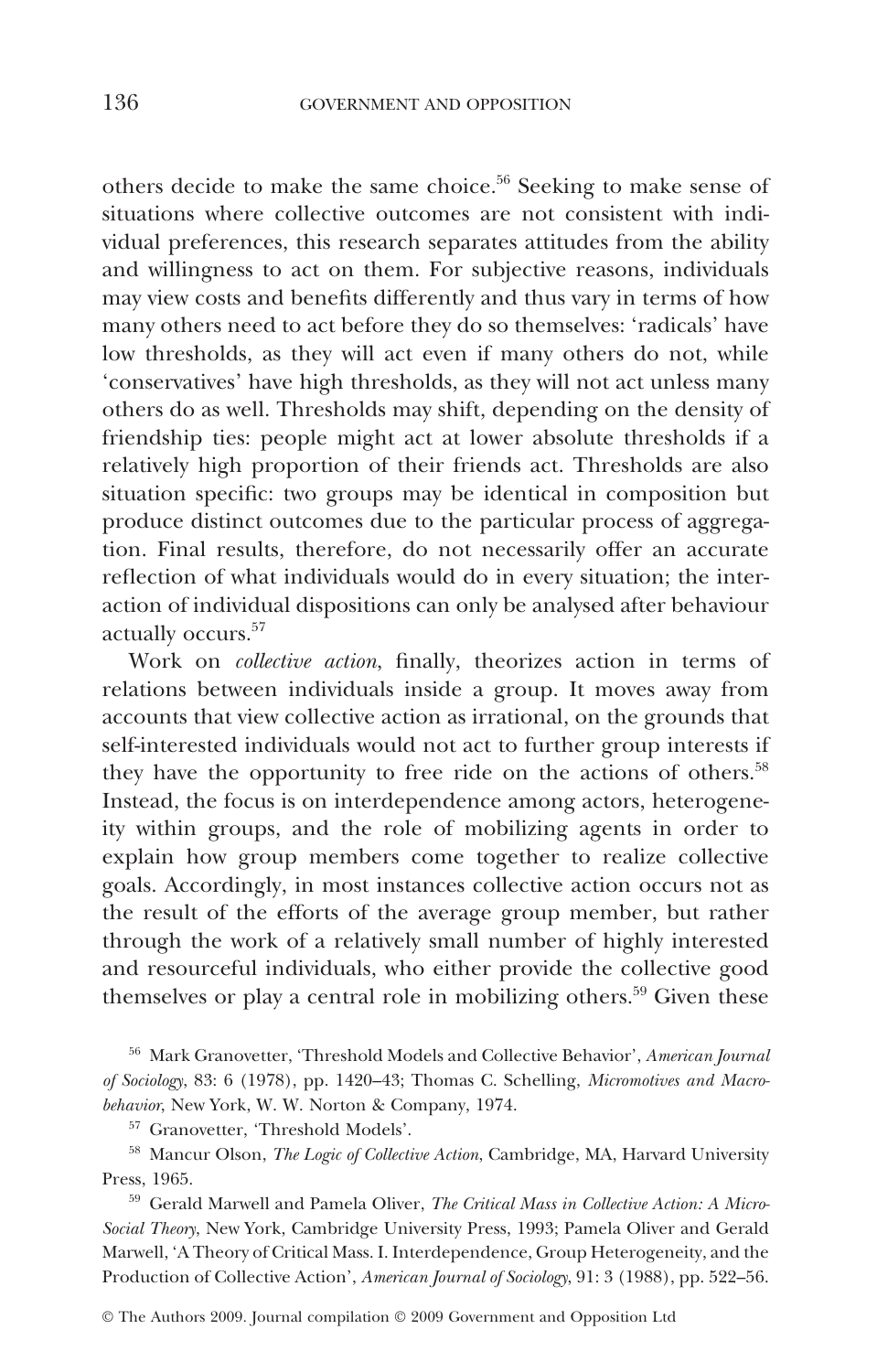others decide to make the same choice.<sup>56</sup> Seeking to make sense of situations where collective outcomes are not consistent with individual preferences, this research separates attitudes from the ability and willingness to act on them. For subjective reasons, individuals may view costs and benefits differently and thus vary in terms of how many others need to act before they do so themselves: 'radicals' have low thresholds, as they will act even if many others do not, while 'conservatives' have high thresholds, as they will not act unless many others do as well. Thresholds may shift, depending on the density of friendship ties: people might act at lower absolute thresholds if a relatively high proportion of their friends act. Thresholds are also situation specific: two groups may be identical in composition but produce distinct outcomes due to the particular process of aggregation. Final results, therefore, do not necessarily offer an accurate reflection of what individuals would do in every situation; the interaction of individual dispositions can only be analysed after behaviour actually occurs.57

Work on *collective action*, finally, theorizes action in terms of relations between individuals inside a group. It moves away from accounts that view collective action as irrational, on the grounds that self-interested individuals would not act to further group interests if they have the opportunity to free ride on the actions of others.<sup>58</sup> Instead, the focus is on interdependence among actors, heterogeneity within groups, and the role of mobilizing agents in order to explain how group members come together to realize collective goals. Accordingly, in most instances collective action occurs not as the result of the efforts of the average group member, but rather through the work of a relatively small number of highly interested and resourceful individuals, who either provide the collective good themselves or play a central role in mobilizing others.<sup>59</sup> Given these

<sup>56</sup> Mark Granovetter, 'Threshold Models and Collective Behavior', *American Journal of Sociology*, 83: 6 (1978), pp. 1420–43; Thomas C. Schelling, *Micromotives and Macrobehavior*, New York, W. W. Norton & Company, 1974.

<sup>57</sup> Granovetter, 'Threshold Models'.

<sup>58</sup> Mancur Olson, *The Logic of Collective Action*, Cambridge, MA, Harvard University Press, 1965.

<sup>59</sup> Gerald Marwell and Pamela Oliver, *The Critical Mass in Collective Action: A Micro-Social Theory*, New York, Cambridge University Press, 1993; Pamela Oliver and Gerald Marwell, 'A Theory of Critical Mass. I. Interdependence, Group Heterogeneity, and the Production of Collective Action', *American Journal of Sociology*, 91: 3 (1988), pp. 522–56.

© The Authors 2009. Journal compilation © 2009 Government and Opposition Ltd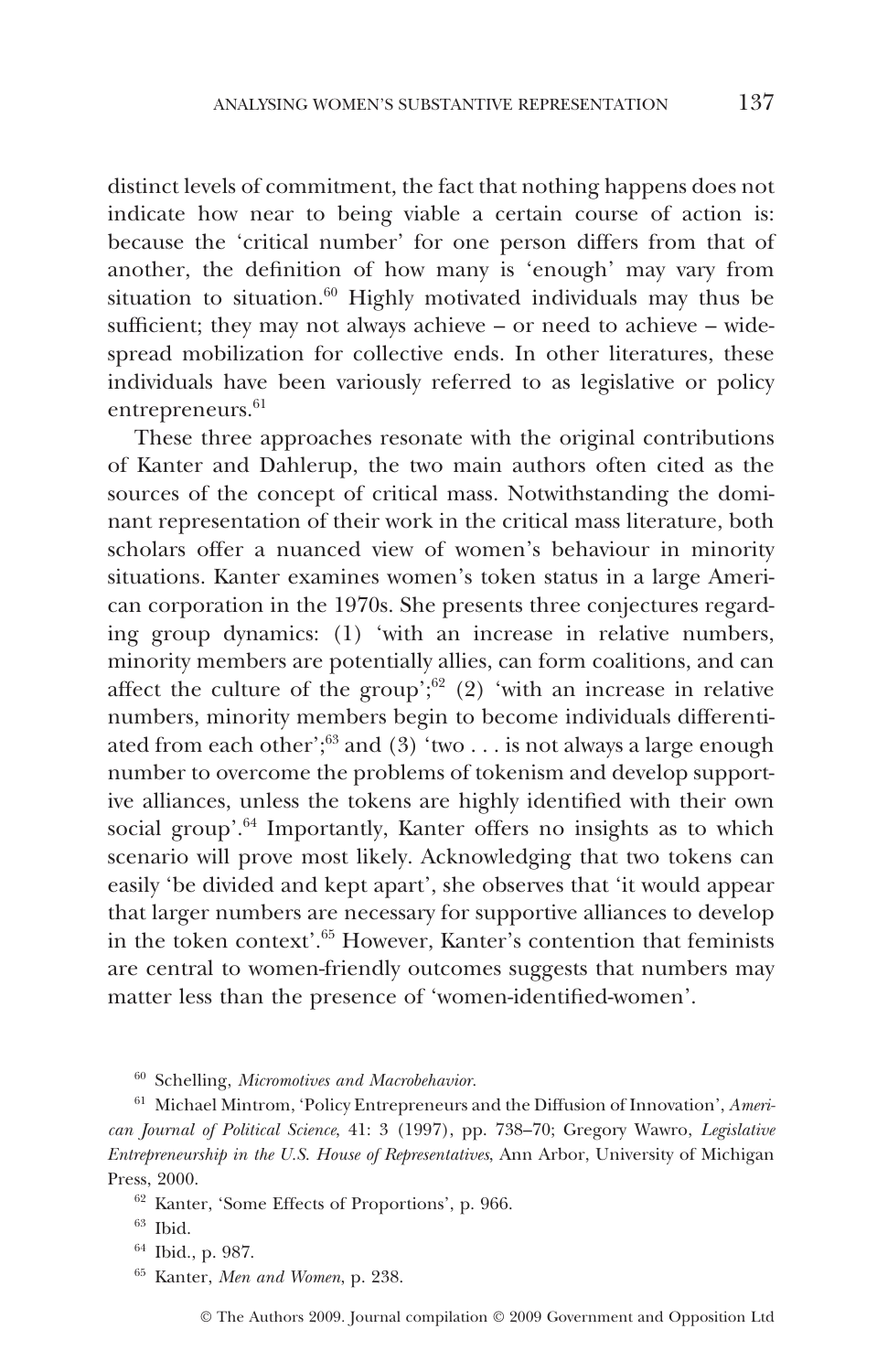distinct levels of commitment, the fact that nothing happens does not indicate how near to being viable a certain course of action is: because the 'critical number' for one person differs from that of another, the definition of how many is 'enough' may vary from situation to situation.<sup>60</sup> Highly motivated individuals may thus be sufficient; they may not always achieve – or need to achieve – widespread mobilization for collective ends. In other literatures, these individuals have been variously referred to as legislative or policy entrepreneurs.<sup>61</sup>

These three approaches resonate with the original contributions of Kanter and Dahlerup, the two main authors often cited as the sources of the concept of critical mass. Notwithstanding the dominant representation of their work in the critical mass literature, both scholars offer a nuanced view of women's behaviour in minority situations. Kanter examines women's token status in a large American corporation in the 1970s. She presents three conjectures regarding group dynamics: (1) 'with an increase in relative numbers, minority members are potentially allies, can form coalitions, and can affect the culture of the group'; $62$  (2) 'with an increase in relative numbers, minority members begin to become individuals differentiated from each other';<sup>63</sup> and (3) 'two . . . is not always a large enough number to overcome the problems of tokenism and develop supportive alliances, unless the tokens are highly identified with their own social group'.<sup>64</sup> Importantly, Kanter offers no insights as to which scenario will prove most likely. Acknowledging that two tokens can easily 'be divided and kept apart', she observes that 'it would appear that larger numbers are necessary for supportive alliances to develop in the token context'.65 However, Kanter's contention that feminists are central to women-friendly outcomes suggests that numbers may matter less than the presence of 'women-identified-women'.

<sup>60</sup> Schelling, *Micromotives and Macrobehavior.*

<sup>61</sup> Michael Mintrom, 'Policy Entrepreneurs and the Diffusion of Innovation', *American Journal of Political Science*, 41: 3 (1997), pp. 738–70; Gregory Wawro, *Legislative Entrepreneurship in the U.S. House of Representatives*, Ann Arbor, University of Michigan Press, 2000.

<sup>62</sup> Kanter, 'Some Effects of Proportions', p. 966.

 $63$  Ibid.

<sup>64</sup> Ibid., p. 987.

<sup>65</sup> Kanter, *Men and Women*, p. 238.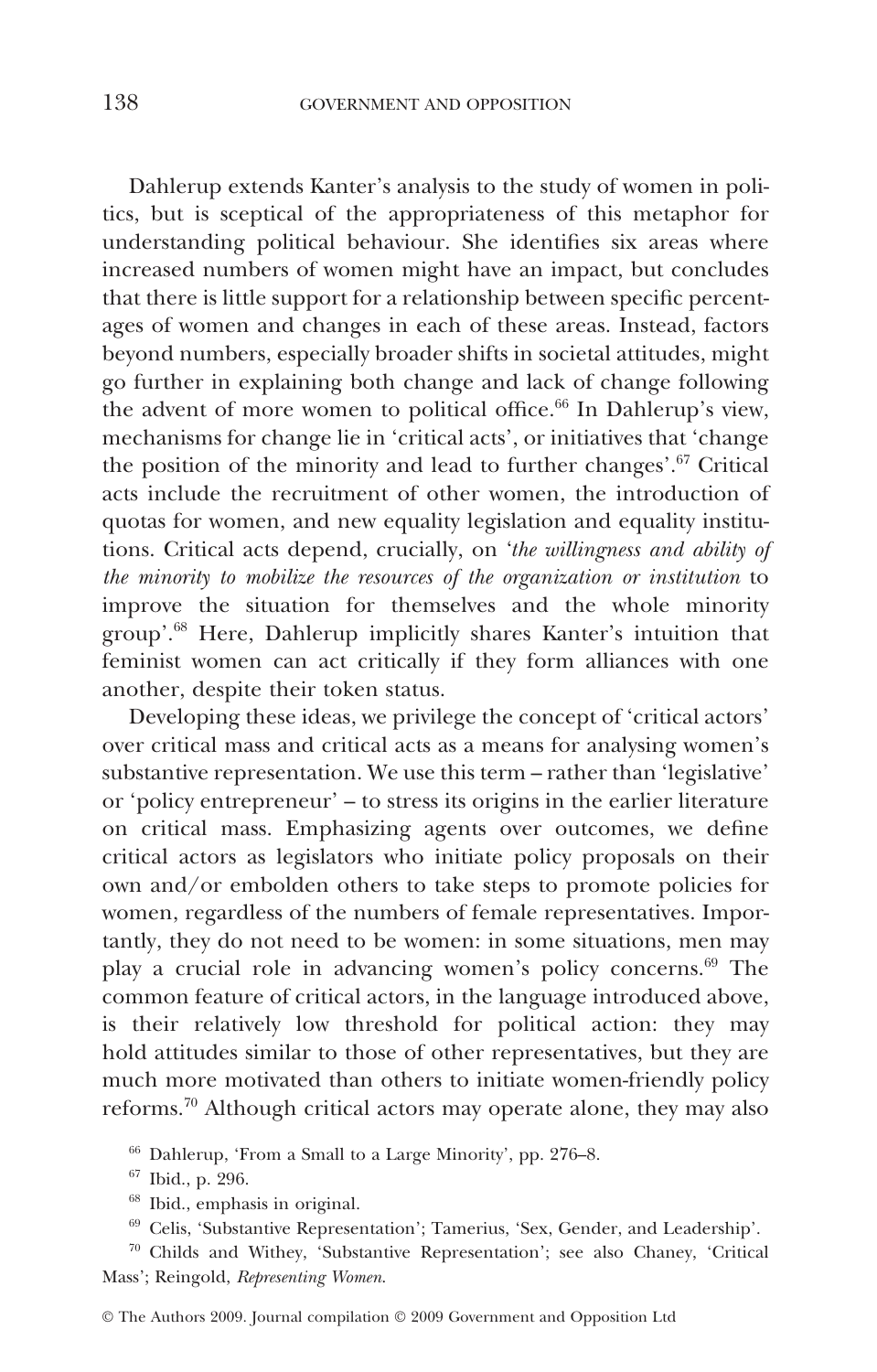Dahlerup extends Kanter's analysis to the study of women in politics, but is sceptical of the appropriateness of this metaphor for understanding political behaviour. She identifies six areas where increased numbers of women might have an impact, but concludes that there is little support for a relationship between specific percentages of women and changes in each of these areas. Instead, factors beyond numbers, especially broader shifts in societal attitudes, might go further in explaining both change and lack of change following the advent of more women to political office.<sup>66</sup> In Dahlerup's view, mechanisms for change lie in 'critical acts', or initiatives that 'change the position of the minority and lead to further changes'.<sup>67</sup> Critical acts include the recruitment of other women, the introduction of quotas for women, and new equality legislation and equality institutions. Critical acts depend, crucially, on '*the willingness and ability of the minority to mobilize the resources of the organization or institution* to improve the situation for themselves and the whole minority group'.68 Here, Dahlerup implicitly shares Kanter's intuition that feminist women can act critically if they form alliances with one another, despite their token status.

Developing these ideas, we privilege the concept of 'critical actors' over critical mass and critical acts as a means for analysing women's substantive representation. We use this term – rather than 'legislative' or 'policy entrepreneur' – to stress its origins in the earlier literature on critical mass. Emphasizing agents over outcomes, we define critical actors as legislators who initiate policy proposals on their own and/or embolden others to take steps to promote policies for women, regardless of the numbers of female representatives. Importantly, they do not need to be women: in some situations, men may play a crucial role in advancing women's policy concerns.69 The common feature of critical actors, in the language introduced above, is their relatively low threshold for political action: they may hold attitudes similar to those of other representatives, but they are much more motivated than others to initiate women-friendly policy reforms.70 Although critical actors may operate alone, they may also

<sup>66</sup> Dahlerup, 'From a Small to a Large Minority', pp. 276–8.

 $67$  Ibid., p. 296.

<sup>68</sup> Ibid., emphasis in original.

<sup>69</sup> Celis, 'Substantive Representation'; Tamerius, 'Sex, Gender, and Leadership'.

<sup>70</sup> Childs and Withey, 'Substantive Representation'; see also Chaney, 'Critical Mass'; Reingold, *Representing Women*.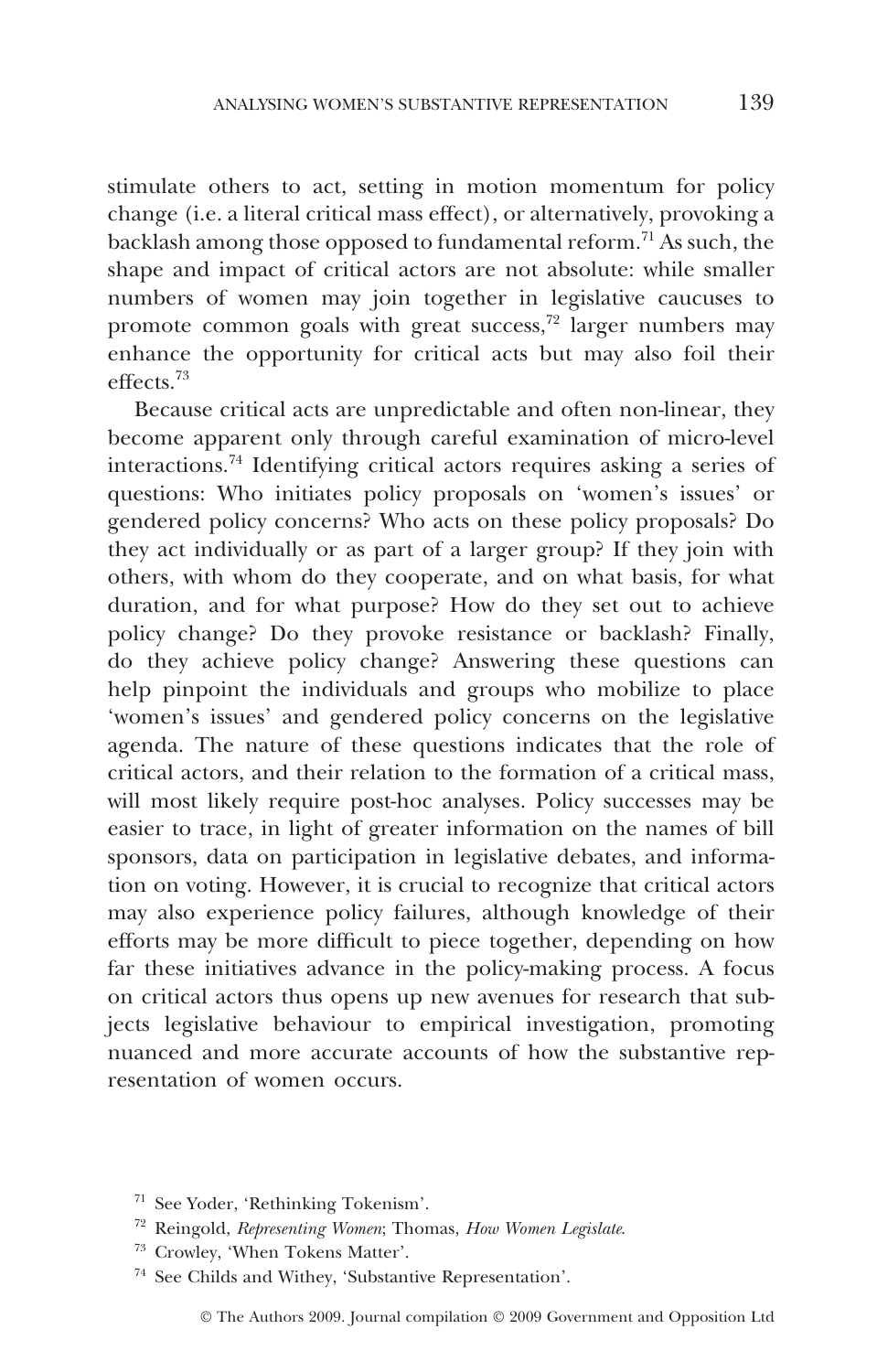stimulate others to act, setting in motion momentum for policy change (i.e. a literal critical mass effect), or alternatively, provoking a backlash among those opposed to fundamental reform.71 As such, the shape and impact of critical actors are not absolute: while smaller numbers of women may join together in legislative caucuses to promote common goals with great success, $72$  larger numbers may enhance the opportunity for critical acts but may also foil their effects.73

Because critical acts are unpredictable and often non-linear, they become apparent only through careful examination of micro-level interactions.74 Identifying critical actors requires asking a series of questions: Who initiates policy proposals on 'women's issues' or gendered policy concerns? Who acts on these policy proposals? Do they act individually or as part of a larger group? If they join with others, with whom do they cooperate, and on what basis, for what duration, and for what purpose? How do they set out to achieve policy change? Do they provoke resistance or backlash? Finally, do they achieve policy change? Answering these questions can help pinpoint the individuals and groups who mobilize to place 'women's issues' and gendered policy concerns on the legislative agenda. The nature of these questions indicates that the role of critical actors, and their relation to the formation of a critical mass, will most likely require post-hoc analyses. Policy successes may be easier to trace, in light of greater information on the names of bill sponsors, data on participation in legislative debates, and information on voting. However, it is crucial to recognize that critical actors may also experience policy failures, although knowledge of their efforts may be more difficult to piece together, depending on how far these initiatives advance in the policy-making process. A focus on critical actors thus opens up new avenues for research that subjects legislative behaviour to empirical investigation, promoting nuanced and more accurate accounts of how the substantive representation of women occurs.

<sup>72</sup> Reingold, *Representing Women*; Thomas, *How Women Legislate*.

<sup>71</sup> See Yoder, 'Rethinking Tokenism'.

<sup>73</sup> Crowley, 'When Tokens Matter'.

<sup>74</sup> See Childs and Withey, 'Substantive Representation'.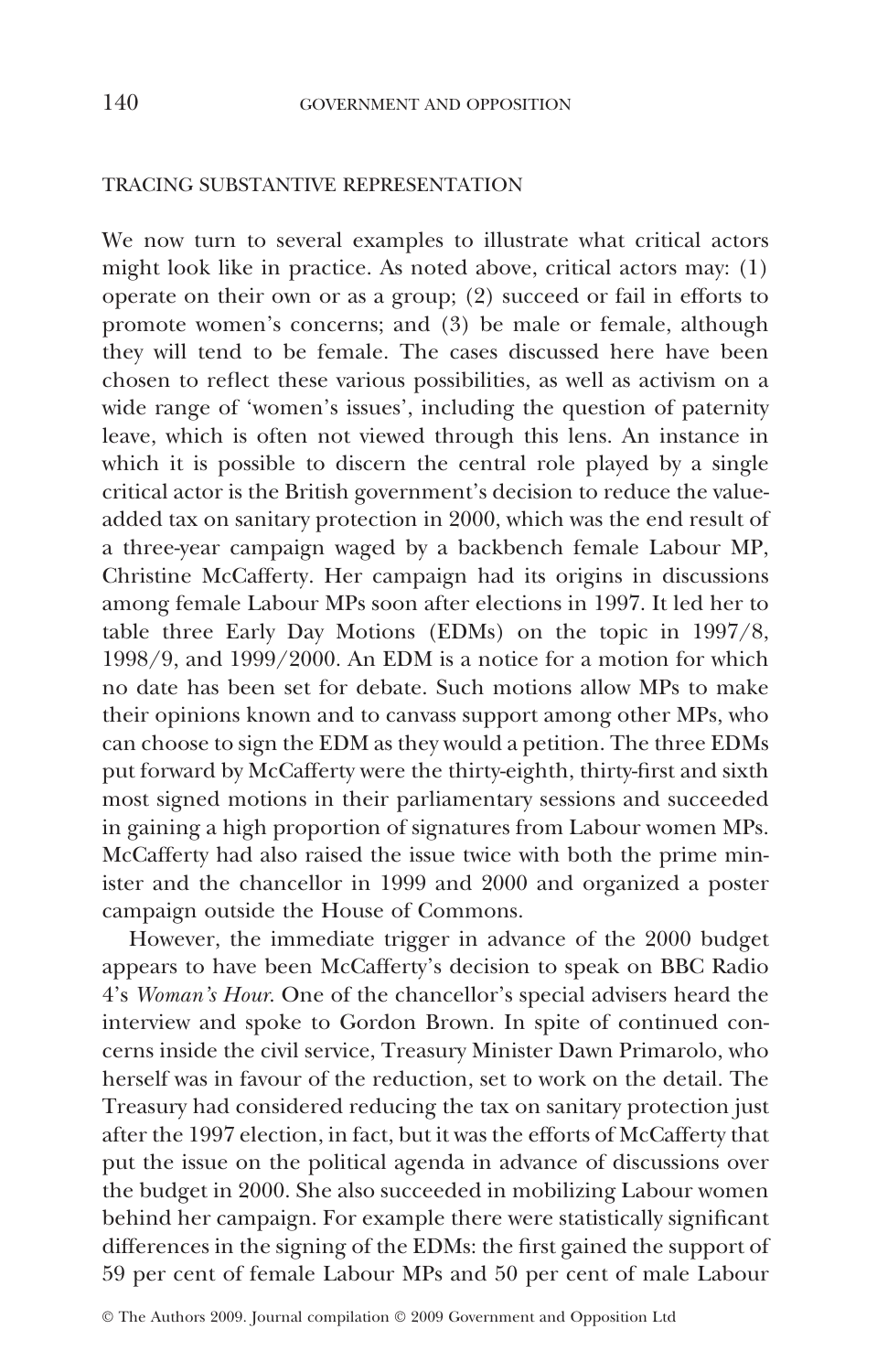### TRACING SUBSTANTIVE REPRESENTATION

We now turn to several examples to illustrate what critical actors might look like in practice. As noted above, critical actors may: (1) operate on their own or as a group; (2) succeed or fail in efforts to promote women's concerns; and (3) be male or female, although they will tend to be female. The cases discussed here have been chosen to reflect these various possibilities, as well as activism on a wide range of 'women's issues', including the question of paternity leave, which is often not viewed through this lens. An instance in which it is possible to discern the central role played by a single critical actor is the British government's decision to reduce the valueadded tax on sanitary protection in 2000, which was the end result of a three-year campaign waged by a backbench female Labour MP, Christine McCafferty. Her campaign had its origins in discussions among female Labour MPs soon after elections in 1997. It led her to table three Early Day Motions (EDMs) on the topic in 1997/8, 1998/9, and 1999/2000. An EDM is a notice for a motion for which no date has been set for debate. Such motions allow MPs to make their opinions known and to canvass support among other MPs, who can choose to sign the EDM as they would a petition. The three EDMs put forward by McCafferty were the thirty-eighth, thirty-first and sixth most signed motions in their parliamentary sessions and succeeded in gaining a high proportion of signatures from Labour women MPs. McCafferty had also raised the issue twice with both the prime minister and the chancellor in 1999 and 2000 and organized a poster campaign outside the House of Commons.

However, the immediate trigger in advance of the 2000 budget appears to have been McCafferty's decision to speak on BBC Radio 4's *Woman's Hour*. One of the chancellor's special advisers heard the interview and spoke to Gordon Brown. In spite of continued concerns inside the civil service, Treasury Minister Dawn Primarolo, who herself was in favour of the reduction, set to work on the detail. The Treasury had considered reducing the tax on sanitary protection just after the 1997 election, in fact, but it was the efforts of McCafferty that put the issue on the political agenda in advance of discussions over the budget in 2000. She also succeeded in mobilizing Labour women behind her campaign. For example there were statistically significant differences in the signing of the EDMs: the first gained the support of 59 per cent of female Labour MPs and 50 per cent of male Labour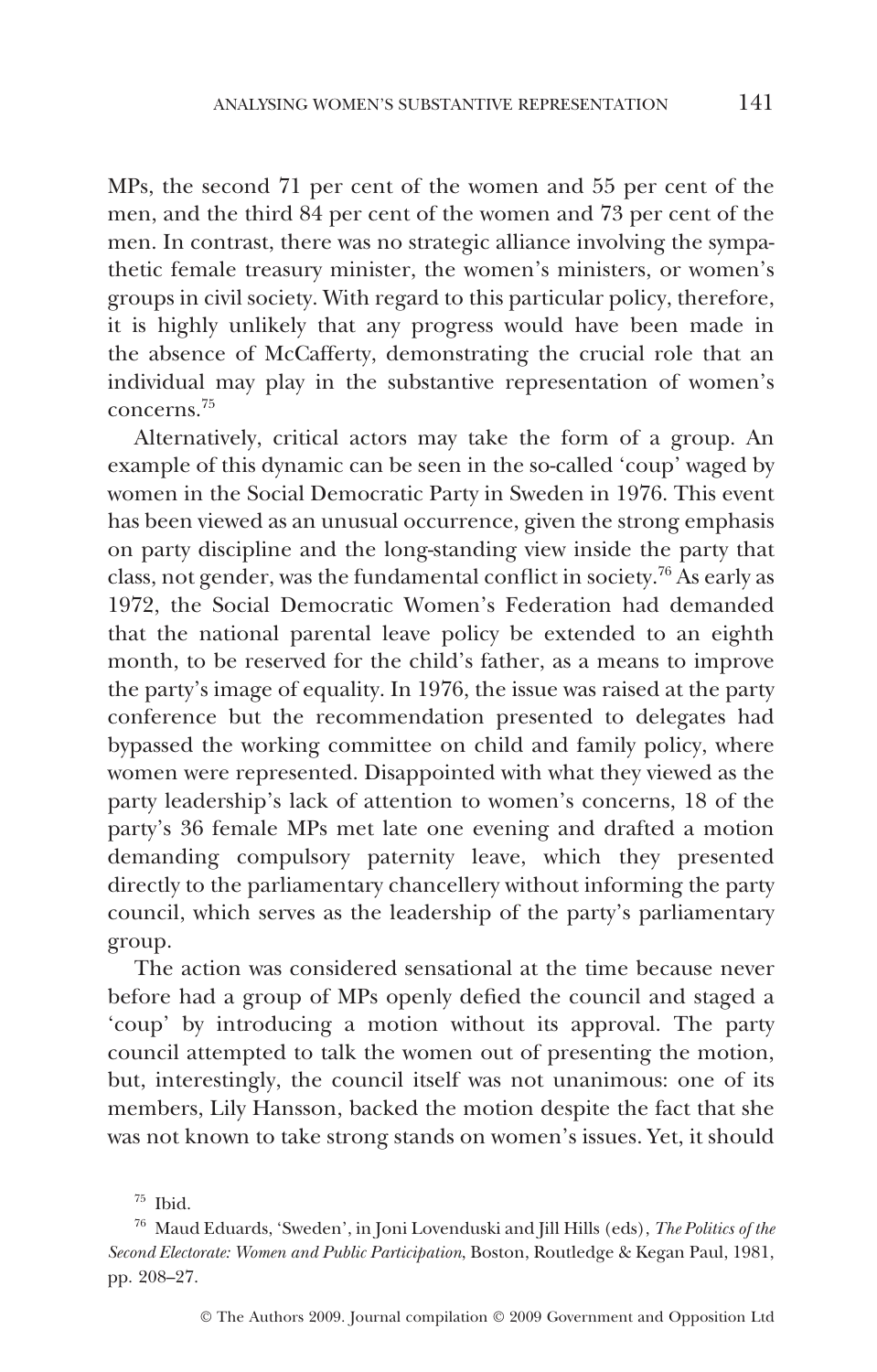MPs, the second 71 per cent of the women and 55 per cent of the men, and the third 84 per cent of the women and 73 per cent of the men. In contrast, there was no strategic alliance involving the sympathetic female treasury minister, the women's ministers, or women's groups in civil society. With regard to this particular policy, therefore, it is highly unlikely that any progress would have been made in the absence of McCafferty, demonstrating the crucial role that an individual may play in the substantive representation of women's concerns.75

Alternatively, critical actors may take the form of a group. An example of this dynamic can be seen in the so-called 'coup' waged by women in the Social Democratic Party in Sweden in 1976. This event has been viewed as an unusual occurrence, given the strong emphasis on party discipline and the long-standing view inside the party that class, not gender, was the fundamental conflict in society.76 As early as 1972, the Social Democratic Women's Federation had demanded that the national parental leave policy be extended to an eighth month, to be reserved for the child's father, as a means to improve the party's image of equality. In 1976, the issue was raised at the party conference but the recommendation presented to delegates had bypassed the working committee on child and family policy, where women were represented. Disappointed with what they viewed as the party leadership's lack of attention to women's concerns, 18 of the party's 36 female MPs met late one evening and drafted a motion demanding compulsory paternity leave, which they presented directly to the parliamentary chancellery without informing the party council, which serves as the leadership of the party's parliamentary group.

The action was considered sensational at the time because never before had a group of MPs openly defied the council and staged a 'coup' by introducing a motion without its approval. The party council attempted to talk the women out of presenting the motion, but, interestingly, the council itself was not unanimous: one of its members, Lily Hansson, backed the motion despite the fact that she was not known to take strong stands on women's issues. Yet, it should

<sup>75</sup> Ibid.

<sup>76</sup> Maud Eduards, 'Sweden', in Joni Lovenduski and Jill Hills (eds), *The Politics of the Second Electorate: Women and Public Participation*, Boston, Routledge & Kegan Paul, 1981, pp. 208–27.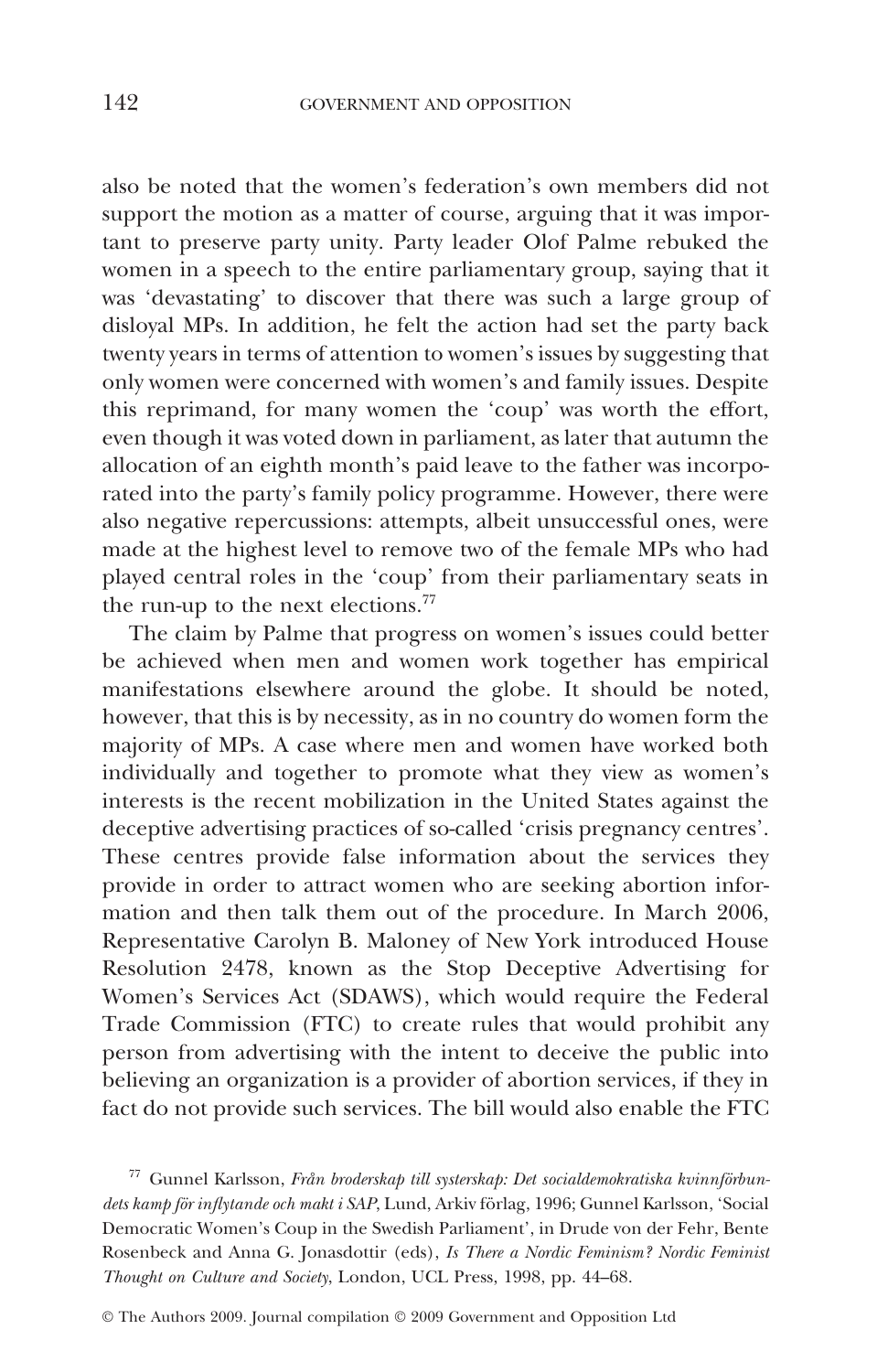also be noted that the women's federation's own members did not support the motion as a matter of course, arguing that it was important to preserve party unity. Party leader Olof Palme rebuked the women in a speech to the entire parliamentary group, saying that it was 'devastating' to discover that there was such a large group of disloyal MPs. In addition, he felt the action had set the party back twenty years in terms of attention to women's issues by suggesting that only women were concerned with women's and family issues. Despite this reprimand, for many women the 'coup' was worth the effort, even though it was voted down in parliament, as later that autumn the allocation of an eighth month's paid leave to the father was incorporated into the party's family policy programme. However, there were also negative repercussions: attempts, albeit unsuccessful ones, were made at the highest level to remove two of the female MPs who had played central roles in the 'coup' from their parliamentary seats in the run-up to the next elections.<sup>77</sup>

The claim by Palme that progress on women's issues could better be achieved when men and women work together has empirical manifestations elsewhere around the globe. It should be noted, however, that this is by necessity, as in no country do women form the majority of MPs. A case where men and women have worked both individually and together to promote what they view as women's interests is the recent mobilization in the United States against the deceptive advertising practices of so-called 'crisis pregnancy centres'. These centres provide false information about the services they provide in order to attract women who are seeking abortion information and then talk them out of the procedure. In March 2006, Representative Carolyn B. Maloney of New York introduced House Resolution 2478, known as the Stop Deceptive Advertising for Women's Services Act (SDAWS), which would require the Federal Trade Commission (FTC) to create rules that would prohibit any person from advertising with the intent to deceive the public into believing an organization is a provider of abortion services, if they in fact do not provide such services. The bill would also enable the FTC

<sup>77</sup> Gunnel Karlsson, *Från broderskap till systerskap: Det socialdemokratiska kvinnförbundets kamp för inflytande och makt i SAP*, Lund, Arkiv förlag, 1996; Gunnel Karlsson, 'Social Democratic Women's Coup in the Swedish Parliament', in Drude von der Fehr, Bente Rosenbeck and Anna G. Jonasdottir (eds), *Is There a Nordic Feminism? Nordic Feminist Thought on Culture and Society*, London, UCL Press, 1998, pp. 44–68.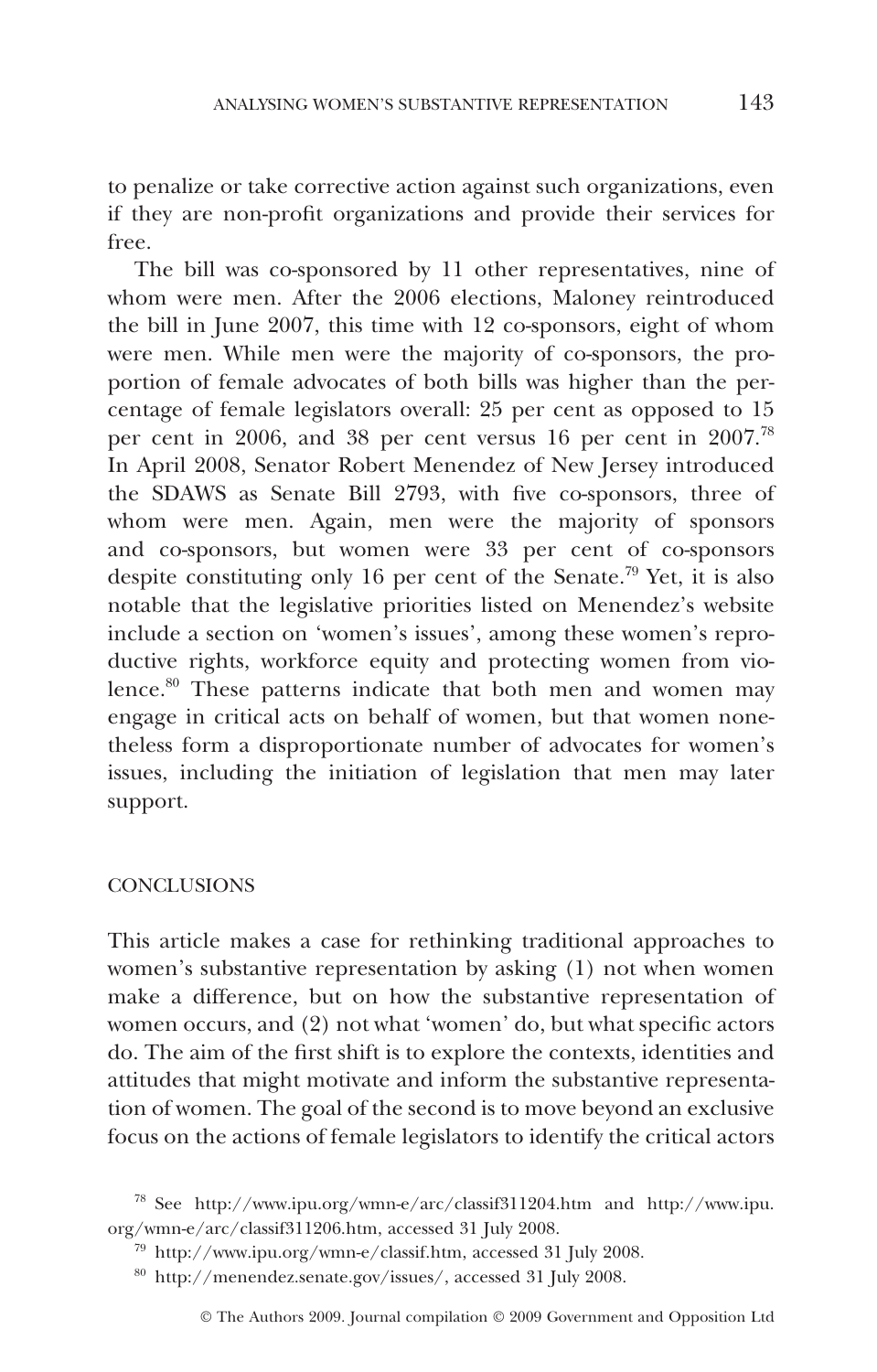to penalize or take corrective action against such organizations, even if they are non-profit organizations and provide their services for free.

The bill was co-sponsored by 11 other representatives, nine of whom were men. After the 2006 elections, Maloney reintroduced the bill in June 2007, this time with 12 co-sponsors, eight of whom were men. While men were the majority of co-sponsors, the proportion of female advocates of both bills was higher than the percentage of female legislators overall: 25 per cent as opposed to 15 per cent in 2006, and 38 per cent versus 16 per cent in 2007.78 In April 2008, Senator Robert Menendez of New Jersey introduced the SDAWS as Senate Bill 2793, with five co-sponsors, three of whom were men. Again, men were the majority of sponsors and co-sponsors, but women were 33 per cent of co-sponsors despite constituting only 16 per cent of the Senate.79 Yet, it is also notable that the legislative priorities listed on Menendez's website include a section on 'women's issues', among these women's reproductive rights, workforce equity and protecting women from violence.80 These patterns indicate that both men and women may engage in critical acts on behalf of women, but that women nonetheless form a disproportionate number of advocates for women's issues, including the initiation of legislation that men may later support.

#### **CONCLUSIONS**

This article makes a case for rethinking traditional approaches to women's substantive representation by asking (1) not when women make a difference, but on how the substantive representation of women occurs, and (2) not what 'women' do, but what specific actors do. The aim of the first shift is to explore the contexts, identities and attitudes that might motivate and inform the substantive representation of women. The goal of the second is to move beyond an exclusive focus on the actions of female legislators to identify the critical actors

<sup>78</sup> See [http://www.ipu.org/wmn-e/arc/classif311204.htm a](http://www.ipu.org/wmn-e/arc/classif311204.htm)nd [http://www.ipu.](http://www.ipu) org/wmn-e/arc/classif311206.htm, accessed 31 July 2008.

<sup>79</sup> [http://www.ipu.org/wmn-e/classif.htm,](http://www.ipu.org/wmn-e/classif.htm) accessed 31 July 2008.

<sup>80</sup> [http://menendez.senate.gov/issues/, ac](http://menendez.senate.gov/issues)cessed 31 July 2008.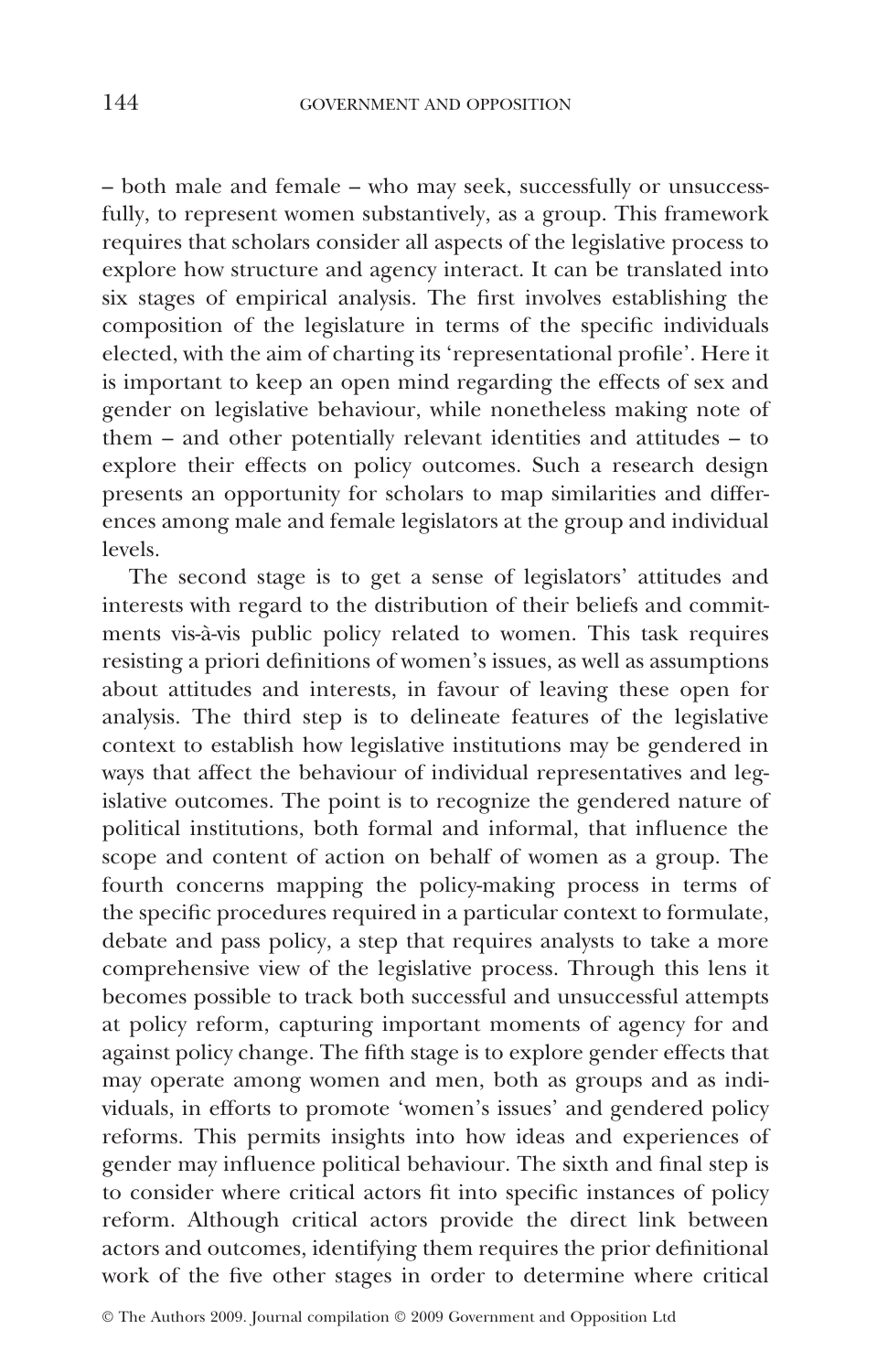– both male and female – who may seek, successfully or unsuccessfully, to represent women substantively, as a group. This framework requires that scholars consider all aspects of the legislative process to explore how structure and agency interact. It can be translated into six stages of empirical analysis. The first involves establishing the composition of the legislature in terms of the specific individuals elected, with the aim of charting its 'representational profile'. Here it is important to keep an open mind regarding the effects of sex and gender on legislative behaviour, while nonetheless making note of them – and other potentially relevant identities and attitudes – to explore their effects on policy outcomes. Such a research design presents an opportunity for scholars to map similarities and differences among male and female legislators at the group and individual levels.

The second stage is to get a sense of legislators' attitudes and interests with regard to the distribution of their beliefs and commitments vis-à-vis public policy related to women. This task requires resisting a priori definitions of women's issues, as well as assumptions about attitudes and interests, in favour of leaving these open for analysis. The third step is to delineate features of the legislative context to establish how legislative institutions may be gendered in ways that affect the behaviour of individual representatives and legislative outcomes. The point is to recognize the gendered nature of political institutions, both formal and informal, that influence the scope and content of action on behalf of women as a group. The fourth concerns mapping the policy-making process in terms of the specific procedures required in a particular context to formulate, debate and pass policy, a step that requires analysts to take a more comprehensive view of the legislative process. Through this lens it becomes possible to track both successful and unsuccessful attempts at policy reform, capturing important moments of agency for and against policy change. The fifth stage is to explore gender effects that may operate among women and men, both as groups and as individuals, in efforts to promote 'women's issues' and gendered policy reforms. This permits insights into how ideas and experiences of gender may influence political behaviour. The sixth and final step is to consider where critical actors fit into specific instances of policy reform. Although critical actors provide the direct link between actors and outcomes, identifying them requires the prior definitional work of the five other stages in order to determine where critical